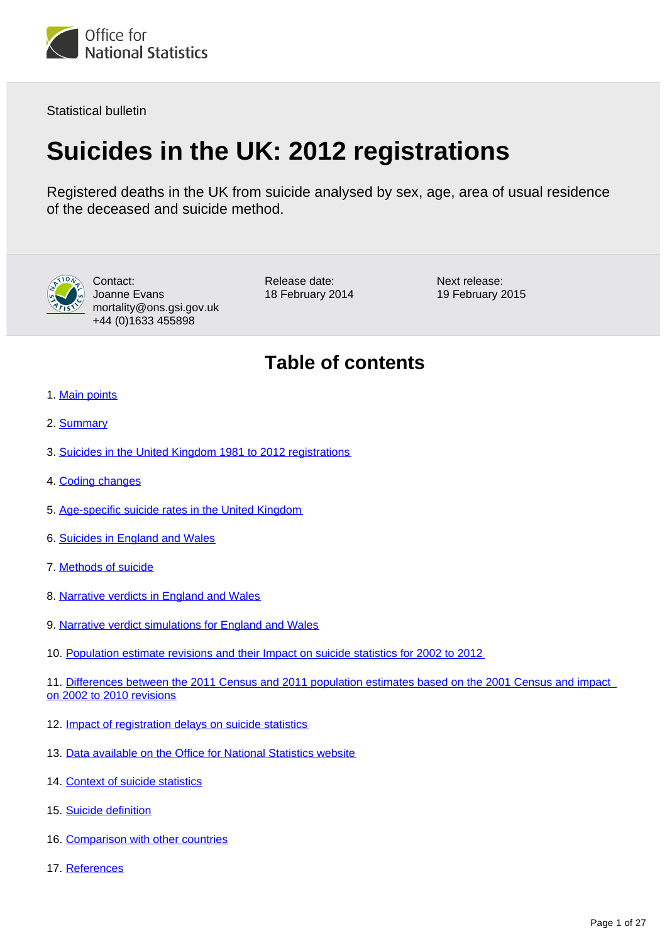

Statistical bulletin

# **Suicides in the UK: 2012 registrations**

Registered deaths in the UK from suicide analysed by sex, age, area of usual residence of the deceased and suicide method.



Contact: Joanne Evans mortality@ons.gsi.gov.uk +44 (0)1633 455898

Release date: 18 February 2014 Next release: 19 February 2015

## **Table of contents**

- 1. [Main points](#page-2-0)
- 2. [Summary](#page-2-1)
- 3. [Suicides in the United Kingdom 1981 to 2012 registrations](#page-3-0)
- 4. [Coding changes](#page-4-0)
- 5. [Age-specific suicide rates in the United Kingdom](#page-4-1)
- 6. [Suicides in England and Wales](#page-7-0)
- 7. [Methods of suicide](#page-9-0)
- 8. [Narrative verdicts in England and Wales](#page-11-0)
- 9. [Narrative verdict simulations for England and Wales](#page-14-0)
- 10. [Population estimate revisions and their Impact on suicide statistics for 2002 to 2012](#page-16-0)

11. [Differences between the 2011 Census and 2011 population estimates based on the 2001 Census and impact](#page-16-1)  [on 2002 to 2010 revisions](#page-16-1)

- 12. [Impact of registration delays on suicide statistics](#page-16-2)
- 13. [Data available on the Office for National Statistics website](#page-19-0)
- 14. [Context of suicide statistics](#page-20-0)
- 15. [Suicide definition](#page-21-0)
- 16. [Comparison with other countries](#page-22-0)
- 17. References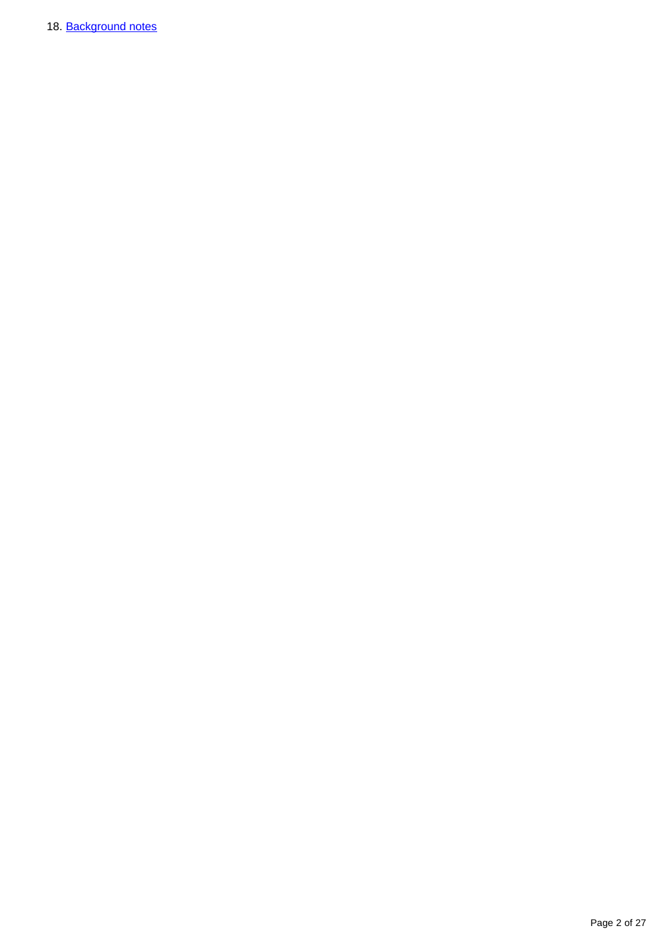18. Background notes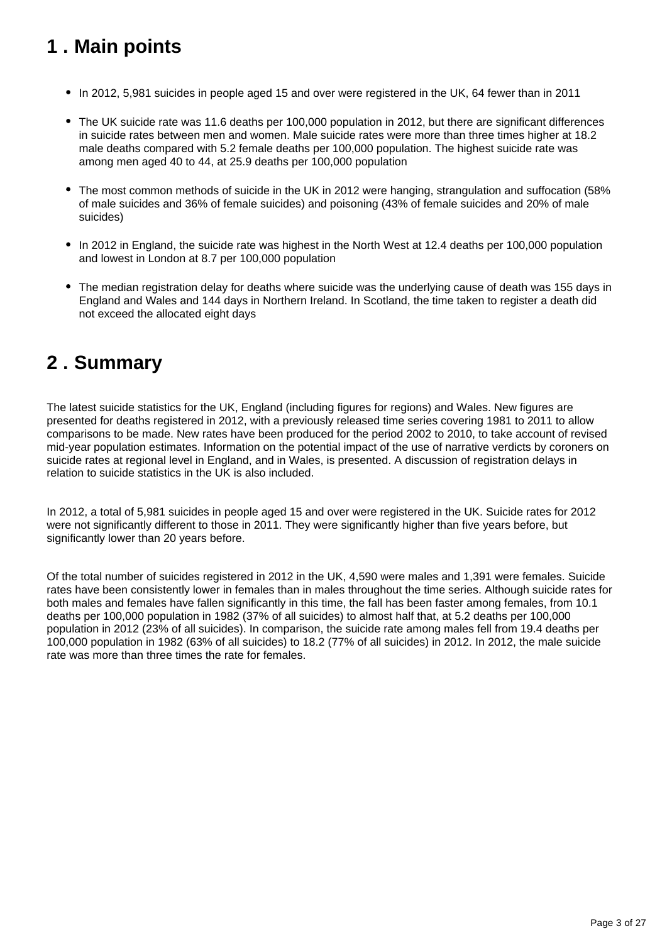## <span id="page-2-0"></span>**1 . Main points**

- In 2012, 5,981 suicides in people aged 15 and over were registered in the UK, 64 fewer than in 2011
- The UK suicide rate was 11.6 deaths per 100,000 population in 2012, but there are significant differences in suicide rates between men and women. Male suicide rates were more than three times higher at 18.2 male deaths compared with 5.2 female deaths per 100,000 population. The highest suicide rate was among men aged 40 to 44, at 25.9 deaths per 100,000 population
- The most common methods of suicide in the UK in 2012 were hanging, strangulation and suffocation (58%) of male suicides and 36% of female suicides) and poisoning (43% of female suicides and 20% of male suicides)
- In 2012 in England, the suicide rate was highest in the North West at 12.4 deaths per 100,000 population and lowest in London at 8.7 per 100,000 population
- The median registration delay for deaths where suicide was the underlying cause of death was 155 days in England and Wales and 144 days in Northern Ireland. In Scotland, the time taken to register a death did not exceed the allocated eight days

### <span id="page-2-1"></span>**2 . Summary**

The latest suicide statistics for the UK, England (including figures for regions) and Wales. New figures are presented for deaths registered in 2012, with a previously released time series covering 1981 to 2011 to allow comparisons to be made. New rates have been produced for the period 2002 to 2010, to take account of revised mid-year population estimates. Information on the potential impact of the use of narrative verdicts by coroners on suicide rates at regional level in England, and in Wales, is presented. A discussion of registration delays in relation to suicide statistics in the UK is also included.

In 2012, a total of 5,981 suicides in people aged 15 and over were registered in the UK. Suicide rates for 2012 were not significantly different to those in 2011. They were significantly higher than five years before, but significantly lower than 20 years before.

Of the total number of suicides registered in 2012 in the UK, 4,590 were males and 1,391 were females. Suicide rates have been consistently lower in females than in males throughout the time series. Although suicide rates for both males and females have fallen significantly in this time, the fall has been faster among females, from 10.1 deaths per 100,000 population in 1982 (37% of all suicides) to almost half that, at 5.2 deaths per 100,000 population in 2012 (23% of all suicides). In comparison, the suicide rate among males fell from 19.4 deaths per 100,000 population in 1982 (63% of all suicides) to 18.2 (77% of all suicides) in 2012. In 2012, the male suicide rate was more than three times the rate for females.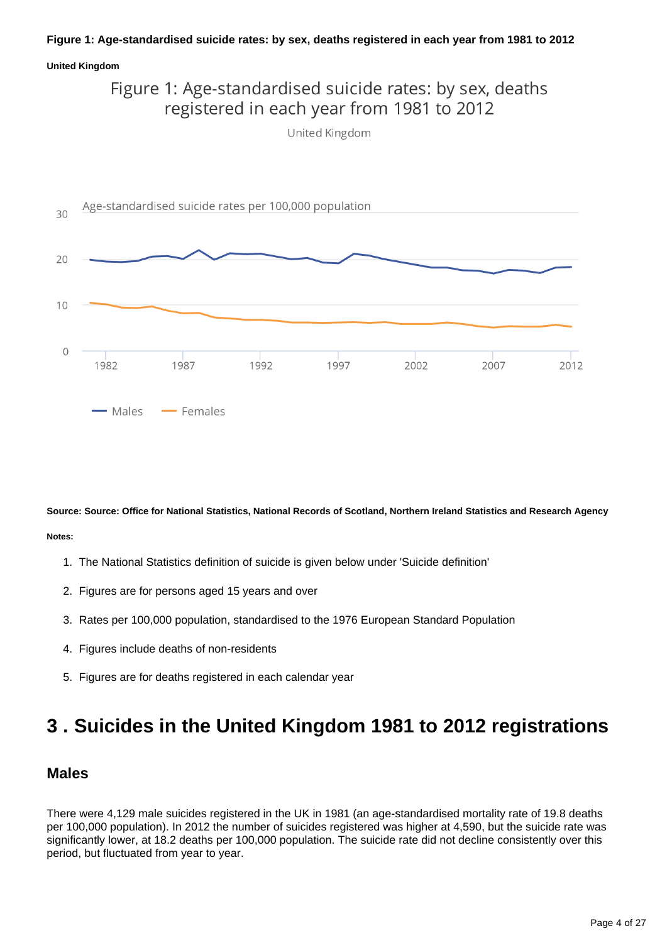### **Figure 1: Age-standardised suicide rates: by sex, deaths registered in each year from 1981 to 2012**

#### **United Kingdom**

### Figure 1: Age-standardised suicide rates: by sex, deaths registered in each year from 1981 to 2012 United Kingdom



**Source: Source: Office for National Statistics, National Records of Scotland, Northern Ireland Statistics and Research Agency Notes:**

- 1. The National Statistics definition of suicide is given below under 'Suicide definition'
- 2. Figures are for persons aged 15 years and over
- 3. Rates per 100,000 population, standardised to the 1976 European Standard Population
- 4. Figures include deaths of non-residents
- 5. Figures are for deaths registered in each calendar year

## <span id="page-3-0"></span>**3 . Suicides in the United Kingdom 1981 to 2012 registrations**

### **Males**

There were 4,129 male suicides registered in the UK in 1981 (an age-standardised mortality rate of 19.8 deaths per 100,000 population). In 2012 the number of suicides registered was higher at 4,590, but the suicide rate was significantly lower, at 18.2 deaths per 100,000 population. The suicide rate did not decline consistently over this period, but fluctuated from year to year.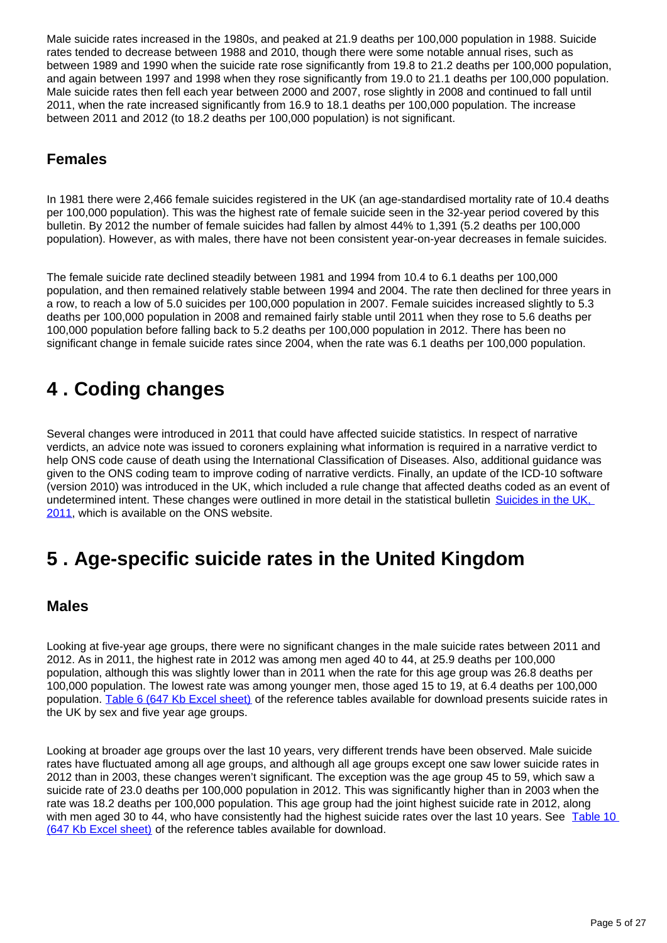Male suicide rates increased in the 1980s, and peaked at 21.9 deaths per 100,000 population in 1988. Suicide rates tended to decrease between 1988 and 2010, though there were some notable annual rises, such as between 1989 and 1990 when the suicide rate rose significantly from 19.8 to 21.2 deaths per 100,000 population, and again between 1997 and 1998 when they rose significantly from 19.0 to 21.1 deaths per 100,000 population. Male suicide rates then fell each year between 2000 and 2007, rose slightly in 2008 and continued to fall until 2011, when the rate increased significantly from 16.9 to 18.1 deaths per 100,000 population. The increase between 2011 and 2012 (to 18.2 deaths per 100,000 population) is not significant.

### **Females**

In 1981 there were 2,466 female suicides registered in the UK (an age-standardised mortality rate of 10.4 deaths per 100,000 population). This was the highest rate of female suicide seen in the 32-year period covered by this bulletin. By 2012 the number of female suicides had fallen by almost 44% to 1,391 (5.2 deaths per 100,000 population). However, as with males, there have not been consistent year-on-year decreases in female suicides.

The female suicide rate declined steadily between 1981 and 1994 from 10.4 to 6.1 deaths per 100,000 population, and then remained relatively stable between 1994 and 2004. The rate then declined for three years in a row, to reach a low of 5.0 suicides per 100,000 population in 2007. Female suicides increased slightly to 5.3 deaths per 100,000 population in 2008 and remained fairly stable until 2011 when they rose to 5.6 deaths per 100,000 population before falling back to 5.2 deaths per 100,000 population in 2012. There has been no significant change in female suicide rates since 2004, when the rate was 6.1 deaths per 100,000 population.

## <span id="page-4-0"></span>**4 . Coding changes**

Several changes were introduced in 2011 that could have affected suicide statistics. In respect of narrative verdicts, an advice note was issued to coroners explaining what information is required in a narrative verdict to help ONS code cause of death using the International Classification of Diseases. Also, additional guidance was given to the ONS coding team to improve coding of narrative verdicts. Finally, an update of the ICD-10 software (version 2010) was introduced in the UK, which included a rule change that affected deaths coded as an event of undetermined intent. These changes were outlined in more detail in the statistical bulletin Suicides in the UK, [2011](http://www.ons.gov.uk/ons/rel/subnational-health4/suicides-in-the-united-kingdom/2011/stb-suicide-bulletin.html), which is available on the ONS website.

### <span id="page-4-1"></span>**5 . Age-specific suicide rates in the United Kingdom**

### **Males**

Looking at five-year age groups, there were no significant changes in the male suicide rates between 2011 and 2012. As in 2011, the highest rate in 2012 was among men aged 40 to 44, at 25.9 deaths per 100,000 population, although this was slightly lower than in 2011 when the rate for this age group was 26.8 deaths per 100,000 population. The lowest rate was among younger men, those aged 15 to 19, at 6.4 deaths per 100,000 population. [Table 6 \(647 Kb Excel sheet\)](http://www.ons.gov.uk/ons/rel/subnational-health4/suicides-in-the-united-kingdom/2012/ref-suicides-2012.xls) of the reference tables available for download presents suicide rates in the UK by sex and five year age groups.

Looking at broader age groups over the last 10 years, very different trends have been observed. Male suicide rates have fluctuated among all age groups, and although all age groups except one saw lower suicide rates in 2012 than in 2003, these changes weren't significant. The exception was the age group 45 to 59, which saw a suicide rate of 23.0 deaths per 100,000 population in 2012. This was significantly higher than in 2003 when the rate was 18.2 deaths per 100,000 population. This age group had the joint highest suicide rate in 2012, along with men aged 30 to 44, who have consistently had the highest suicide rates over the last 10 years. See Table 10 [\(647 Kb Excel sheet\)](http://www.ons.gov.uk/ons/rel/subnational-health4/suicides-in-the-united-kingdom/2012/ref-suicides-2012.xls) of the reference tables available for download.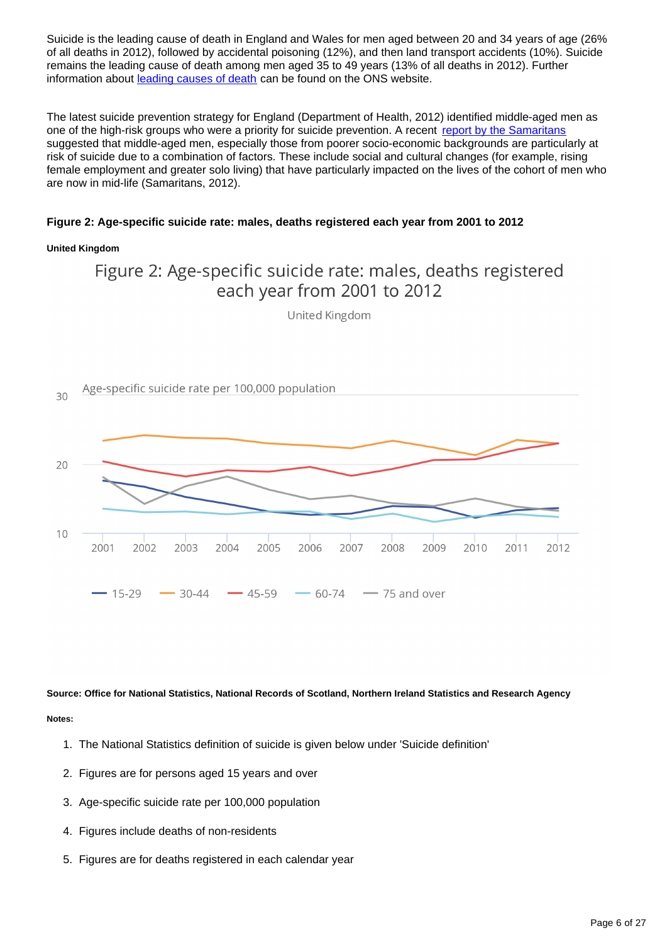Suicide is the leading cause of death in England and Wales for men aged between 20 and 34 years of age (26% of all deaths in 2012), followed by accidental poisoning (12%), and then land transport accidents (10%). Suicide remains the leading cause of death among men aged 35 to 49 years (13% of all deaths in 2012). Further information about [leading causes of death](http://www.ons.gov.uk/ons/rel/vsob1/mortality-statistics--deaths-registered-in-england-and-wales--series-dr-/2012/info-causes-of-death.html) can be found on the ONS website.

The latest suicide prevention strategy for England (Department of Health, 2012) identified middle-aged men as one of the high-risk groups who were a priority for suicide prevention. A recent [report by the Samaritans](http://www.samaritans.org/sites/default/files/kcfinder/files/press/Men%20Suicide%20and%20Society%20Research%20Report%20151112.pdf) suggested that middle-aged men, especially those from poorer socio-economic backgrounds are particularly at risk of suicide due to a combination of factors. These include social and cultural changes (for example, rising female employment and greater solo living) that have particularly impacted on the lives of the cohort of men who are now in mid-life (Samaritans, 2012).

### **Figure 2: Age-specific suicide rate: males, deaths registered each year from 2001 to 2012**

#### **United Kingdom**



**Source: Office for National Statistics, National Records of Scotland, Northern Ireland Statistics and Research Agency Notes:**

- 1. The National Statistics definition of suicide is given below under 'Suicide definition'
- 2. Figures are for persons aged 15 years and over
- 3. Age-specific suicide rate per 100,000 population
- 4. Figures include deaths of non-residents
- 5. Figures are for deaths registered in each calendar year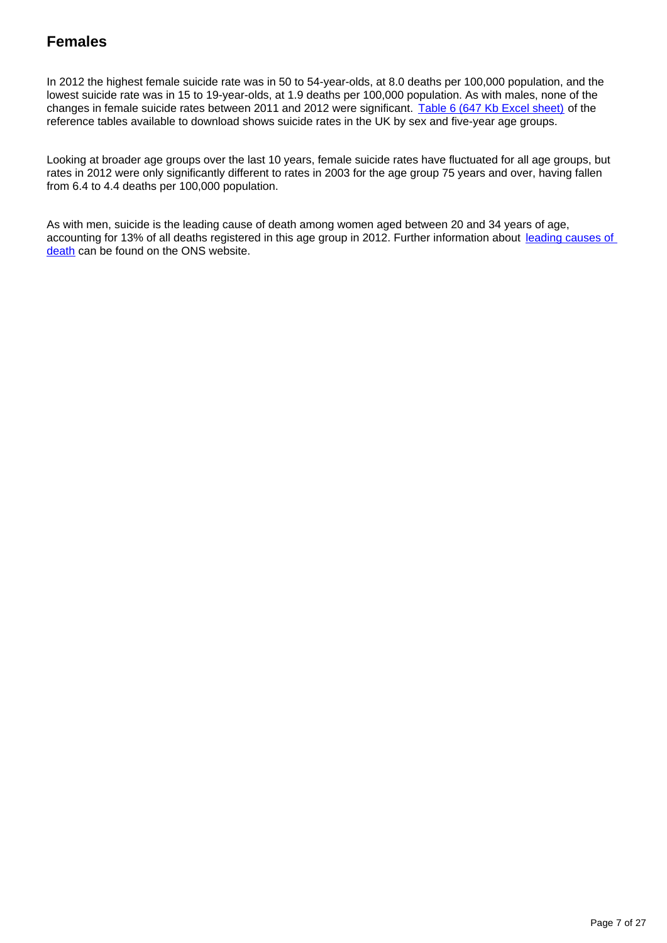### **Females**

In 2012 the highest female suicide rate was in 50 to 54-year-olds, at 8.0 deaths per 100,000 population, and the lowest suicide rate was in 15 to 19-year-olds, at 1.9 deaths per 100,000 population. As with males, none of the changes in female suicide rates between 2011 and 2012 were significant. [Table 6 \(647 Kb Excel sheet\)](http://www.ons.gov.uk/ons/rel/subnational-health4/suicides-in-the-united-kingdom/2012/ref-suicides-2012.xls) of the reference tables available to download shows suicide rates in the UK by sex and five-year age groups.

Looking at broader age groups over the last 10 years, female suicide rates have fluctuated for all age groups, but rates in 2012 were only significantly different to rates in 2003 for the age group 75 years and over, having fallen from 6.4 to 4.4 deaths per 100,000 population.

As with men, suicide is the leading cause of death among women aged between 20 and 34 years of age, accounting for 13% of all deaths registered in this age group in 2012. Further information about leading causes of [death](http://www.ons.gov.uk/ons/rel/vsob1/mortality-statistics--deaths-registered-in-england-and-wales--series-dr-/2012/info-causes-of-death.html) can be found on the ONS website.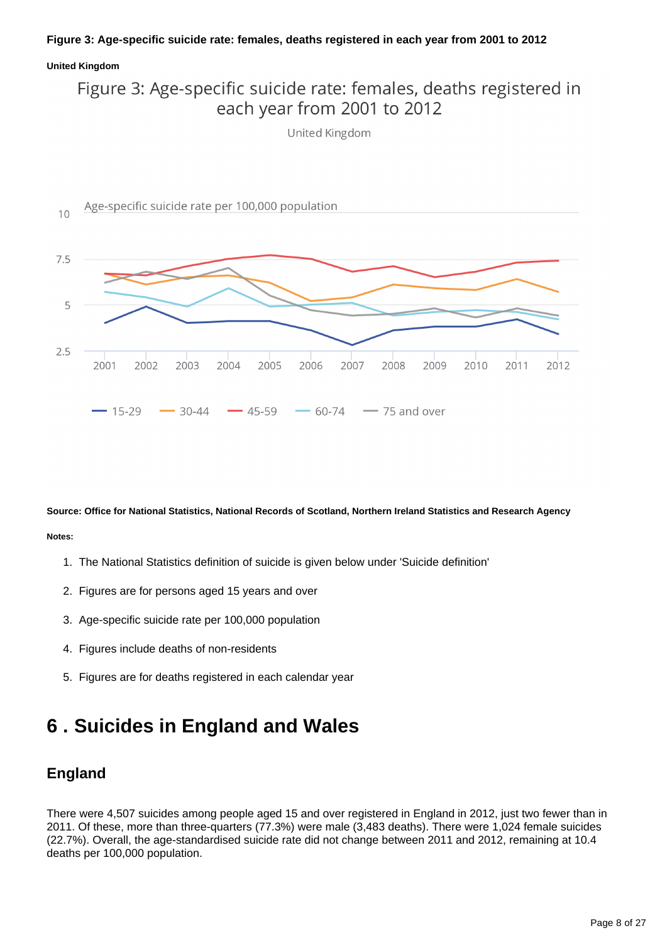### **Figure 3: Age-specific suicide rate: females, deaths registered in each year from 2001 to 2012**

#### **United Kingdom**

### Figure 3: Age-specific suicide rate: females, deaths registered in each year from 2001 to 2012

United Kingdom



**Source: Office for National Statistics, National Records of Scotland, Northern Ireland Statistics and Research Agency Notes:**

- 1. The National Statistics definition of suicide is given below under 'Suicide definition'
- 2. Figures are for persons aged 15 years and over
- 3. Age-specific suicide rate per 100,000 population
- 4. Figures include deaths of non-residents
- 5. Figures are for deaths registered in each calendar year

## <span id="page-7-0"></span>**6 . Suicides in England and Wales**

### **England**

There were 4,507 suicides among people aged 15 and over registered in England in 2012, just two fewer than in 2011. Of these, more than three-quarters (77.3%) were male (3,483 deaths). There were 1,024 female suicides (22.7%). Overall, the age-standardised suicide rate did not change between 2011 and 2012, remaining at 10.4 deaths per 100,000 population.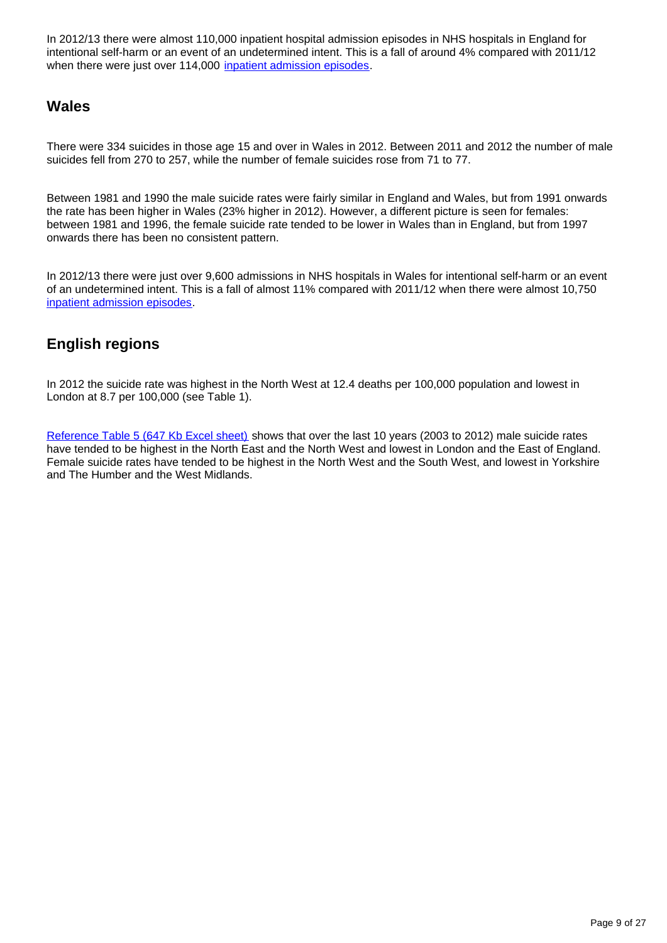In 2012/13 there were almost 110,000 inpatient hospital admission episodes in NHS hospitals in England for intentional self-harm or an event of an undetermined intent. This is a fall of around 4% compared with 2011/12 when there were just over 114,000 [inpatient admission episodes](http://www.hscic.gov.uk/searchcatalogue?productid=13264&q=title:%22Hospital+Episode+Statistics,+Admitted+patient+care).

### **Wales**

There were 334 suicides in those age 15 and over in Wales in 2012. Between 2011 and 2012 the number of male suicides fell from 270 to 257, while the number of female suicides rose from 71 to 77.

Between 1981 and 1990 the male suicide rates were fairly similar in England and Wales, but from 1991 onwards the rate has been higher in Wales (23% higher in 2012). However, a different picture is seen for females: between 1981 and 1996, the female suicide rate tended to be lower in Wales than in England, but from 1997 onwards there has been no consistent pattern.

In 2012/13 there were just over 9,600 admissions in NHS hospitals in Wales for intentional self-harm or an event of an undetermined intent. This is a fall of almost 11% compared with 2011/12 when there were almost 10,750 [inpatient admission episodes.](http://www.infoandstats.wales.nhs.uk/page.cfm?orgid=869&pid=41010&subjectlist=External+Causes&patientcoverlist=0&period=0&keyword=&action=Search)

### **English regions**

In 2012 the suicide rate was highest in the North West at 12.4 deaths per 100,000 population and lowest in London at 8.7 per 100,000 (see Table 1).

[Reference Table 5 \(647 Kb Excel sheet\)](http://www.ons.gov.uk/ons/rel/subnational-health4/suicides-in-the-united-kingdom/2012/ref-suicides-2012.xls) shows that over the last 10 years (2003 to 2012) male suicide rates have tended to be highest in the North East and the North West and lowest in London and the East of England. Female suicide rates have tended to be highest in the North West and the South West, and lowest in Yorkshire and The Humber and the West Midlands.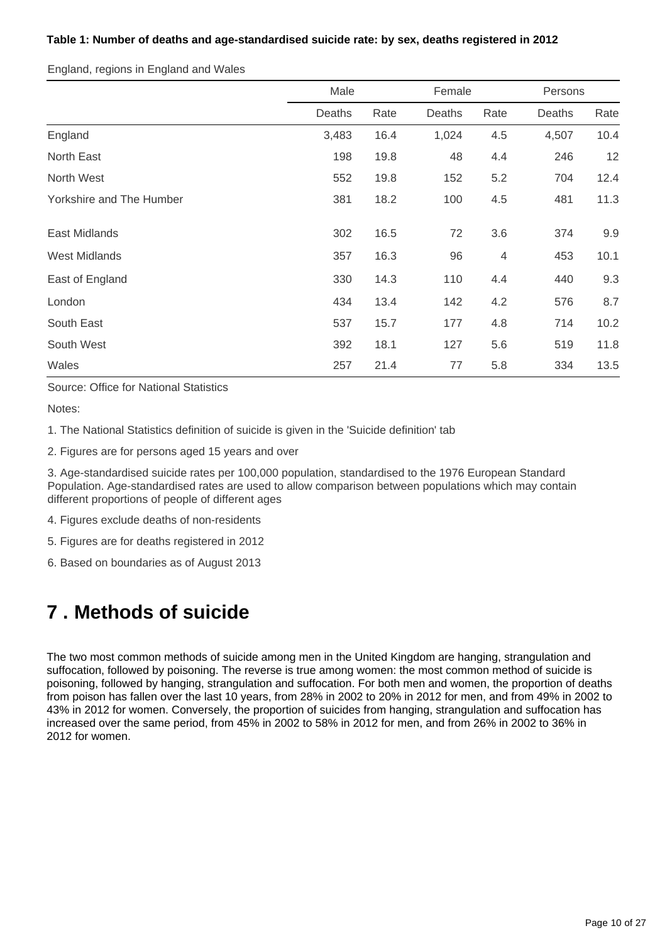### **Table 1: Number of deaths and age-standardised suicide rate: by sex, deaths registered in 2012**

England, regions in England and Wales

|                          | Male   |      | Female |                | Persons |      |
|--------------------------|--------|------|--------|----------------|---------|------|
|                          | Deaths | Rate | Deaths | Rate           | Deaths  | Rate |
| England                  | 3,483  | 16.4 | 1,024  | 4.5            | 4,507   | 10.4 |
| North East               | 198    | 19.8 | 48     | 4.4            | 246     | 12   |
| North West               | 552    | 19.8 | 152    | 5.2            | 704     | 12.4 |
| Yorkshire and The Humber | 381    | 18.2 | 100    | 4.5            | 481     | 11.3 |
| East Midlands            | 302    | 16.5 | 72     | 3.6            | 374     | 9.9  |
| <b>West Midlands</b>     | 357    | 16.3 | 96     | $\overline{4}$ | 453     | 10.1 |
| East of England          | 330    | 14.3 | 110    | 4.4            | 440     | 9.3  |
| London                   | 434    | 13.4 | 142    | 4.2            | 576     | 8.7  |
| South East               | 537    | 15.7 | 177    | 4.8            | 714     | 10.2 |
| South West               | 392    | 18.1 | 127    | 5.6            | 519     | 11.8 |
| Wales                    | 257    | 21.4 | 77     | 5.8            | 334     | 13.5 |

Source: Office for National Statistics

Notes:

1. The National Statistics definition of suicide is given in the 'Suicide definition' tab

2. Figures are for persons aged 15 years and over

3. Age-standardised suicide rates per 100,000 population, standardised to the 1976 European Standard Population. Age-standardised rates are used to allow comparison between populations which may contain different proportions of people of different ages

4. Figures exclude deaths of non-residents

5. Figures are for deaths registered in 2012

6. Based on boundaries as of August 2013

## <span id="page-9-0"></span>**7 . Methods of suicide**

The two most common methods of suicide among men in the United Kingdom are hanging, strangulation and suffocation, followed by poisoning. The reverse is true among women: the most common method of suicide is poisoning, followed by hanging, strangulation and suffocation. For both men and women, the proportion of deaths from poison has fallen over the last 10 years, from 28% in 2002 to 20% in 2012 for men, and from 49% in 2002 to 43% in 2012 for women. Conversely, the proportion of suicides from hanging, strangulation and suffocation has increased over the same period, from 45% in 2002 to 58% in 2012 for men, and from 26% in 2002 to 36% in 2012 for women.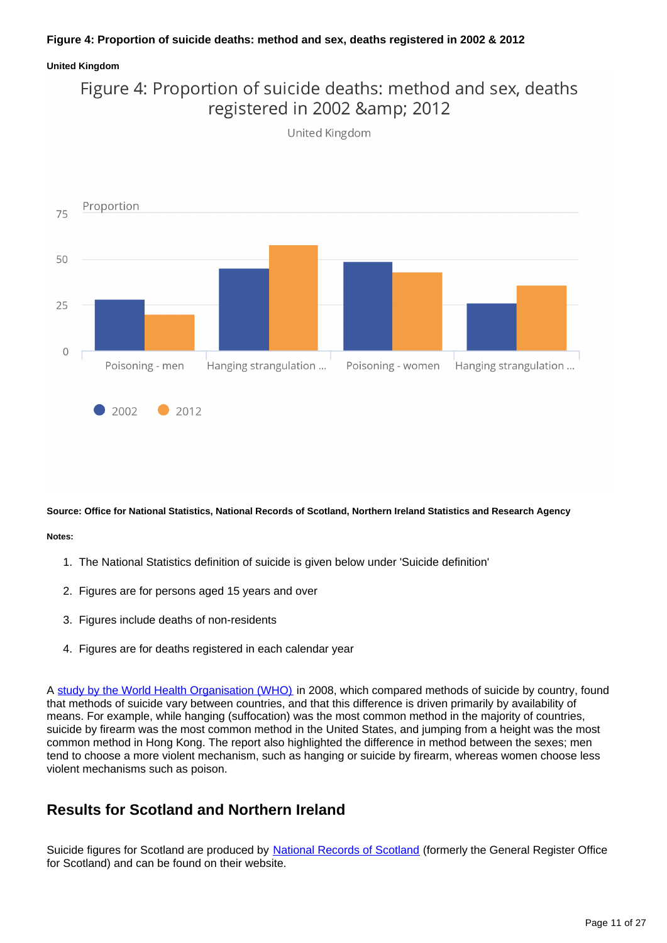### **Figure 4: Proportion of suicide deaths: method and sex, deaths registered in 2002 & 2012**

#### **United Kingdom**





**Source: Office for National Statistics, National Records of Scotland, Northern Ireland Statistics and Research Agency**

#### **Notes:**

- 1. The National Statistics definition of suicide is given below under 'Suicide definition'
- 2. Figures are for persons aged 15 years and over
- 3. Figures include deaths of non-residents
- 4. Figures are for deaths registered in each calendar year

A [study by the World Health Organisation \(WHO\)](http://www.who.int/bulletin/volumes/86/9/07-043489/en/) in 2008, which compared methods of suicide by country, found that methods of suicide vary between countries, and that this difference is driven primarily by availability of means. For example, while hanging (suffocation) was the most common method in the majority of countries, suicide by firearm was the most common method in the United States, and jumping from a height was the most common method in Hong Kong. The report also highlighted the difference in method between the sexes; men tend to choose a more violent mechanism, such as hanging or suicide by firearm, whereas women choose less violent mechanisms such as poison.

### **Results for Scotland and Northern Ireland**

Suicide figures for Scotland are produced by [National Records of Scotland](http://www.ons.gov.uk/ons/external-links/devolved-admins/national-records-of-scotland/gro--probable-suicides.html) (formerly the General Register Office for Scotland) and can be found on their website.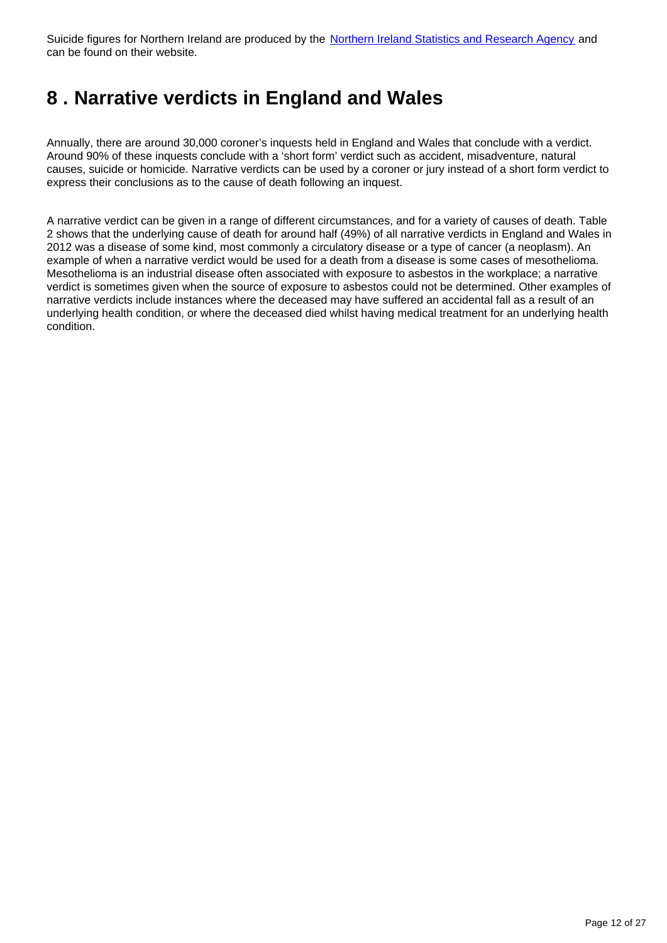Suicide figures for Northern Ireland are produced by the [Northern Ireland Statistics and Research Agency](http://www.ons.gov.uk/ons/external-links/devolved-admins/nisra/nisra--demography-suicide-deaths.html) and can be found on their website.

## <span id="page-11-0"></span>**8 . Narrative verdicts in England and Wales**

Annually, there are around 30,000 coroner's inquests held in England and Wales that conclude with a verdict. Around 90% of these inquests conclude with a 'short form' verdict such as accident, misadventure, natural causes, suicide or homicide. Narrative verdicts can be used by a coroner or jury instead of a short form verdict to express their conclusions as to the cause of death following an inquest.

A narrative verdict can be given in a range of different circumstances, and for a variety of causes of death. Table 2 shows that the underlying cause of death for around half (49%) of all narrative verdicts in England and Wales in 2012 was a disease of some kind, most commonly a circulatory disease or a type of cancer (a neoplasm). An example of when a narrative verdict would be used for a death from a disease is some cases of mesothelioma. Mesothelioma is an industrial disease often associated with exposure to asbestos in the workplace; a narrative verdict is sometimes given when the source of exposure to asbestos could not be determined. Other examples of narrative verdicts include instances where the deceased may have suffered an accidental fall as a result of an underlying health condition, or where the deceased died whilst having medical treatment for an underlying health condition.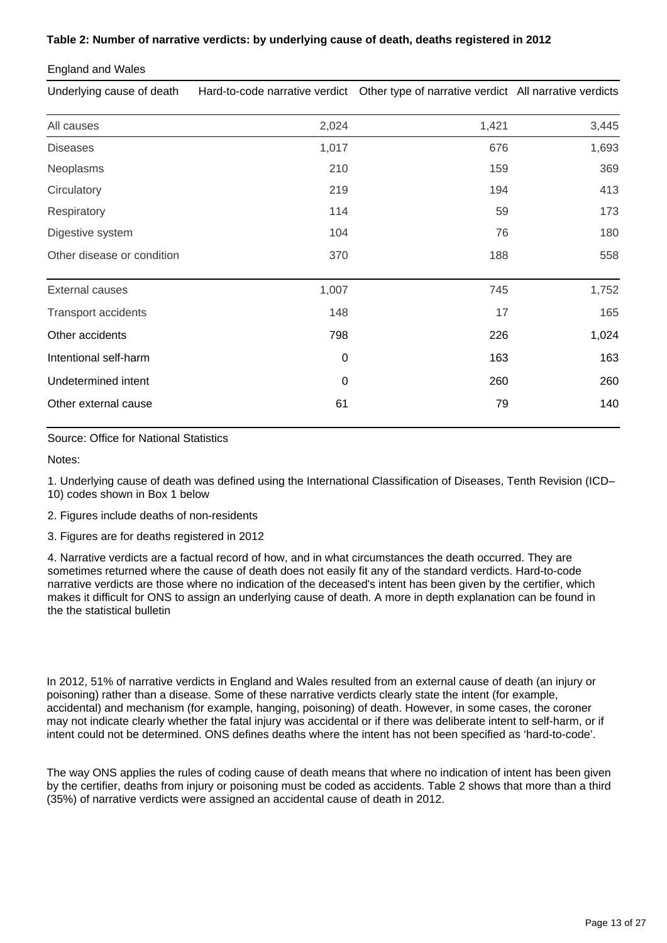### **Table 2: Number of narrative verdicts: by underlying cause of death, deaths registered in 2012**

### England and Wales

Underlying cause of death Hard-to-code narrative verdict Other type of narrative verdict All narrative verdicts

| All causes                 | 2,024       | 1,421 | 3,445 |
|----------------------------|-------------|-------|-------|
| <b>Diseases</b>            | 1,017       | 676   | 1,693 |
| Neoplasms                  | 210         | 159   | 369   |
| Circulatory                | 219         | 194   | 413   |
| Respiratory                | 114         | 59    | 173   |
| Digestive system           | 104         | 76    | 180   |
| Other disease or condition | 370         | 188   | 558   |
| <b>External causes</b>     | 1,007       | 745   | 1,752 |
| <b>Transport accidents</b> | 148         | 17    | 165   |
| Other accidents            | 798         | 226   | 1,024 |
| Intentional self-harm      | 0           | 163   | 163   |
| Undetermined intent        | $\mathbf 0$ | 260   | 260   |
| Other external cause       | 61          | 79    | 140   |
|                            |             |       |       |

Source: Office for National Statistics

Notes:

1. Underlying cause of death was defined using the International Classification of Diseases, Tenth Revision (ICD– 10) codes shown in Box 1 below

2. Figures include deaths of non-residents

3. Figures are for deaths registered in 2012

4. Narrative verdicts are a factual record of how, and in what circumstances the death occurred. They are sometimes returned where the cause of death does not easily fit any of the standard verdicts. Hard-to-code narrative verdicts are those where no indication of the deceased's intent has been given by the certifier, which makes it difficult for ONS to assign an underlying cause of death. A more in depth explanation can be found in the the statistical bulletin

In 2012, 51% of narrative verdicts in England and Wales resulted from an external cause of death (an injury or poisoning) rather than a disease. Some of these narrative verdicts clearly state the intent (for example, accidental) and mechanism (for example, hanging, poisoning) of death. However, in some cases, the coroner may not indicate clearly whether the fatal injury was accidental or if there was deliberate intent to self-harm, or if intent could not be determined. ONS defines deaths where the intent has not been specified as 'hard-to-code'.

The way ONS applies the rules of coding cause of death means that where no indication of intent has been given by the certifier, deaths from injury or poisoning must be coded as accidents. Table 2 shows that more than a third (35%) of narrative verdicts were assigned an accidental cause of death in 2012.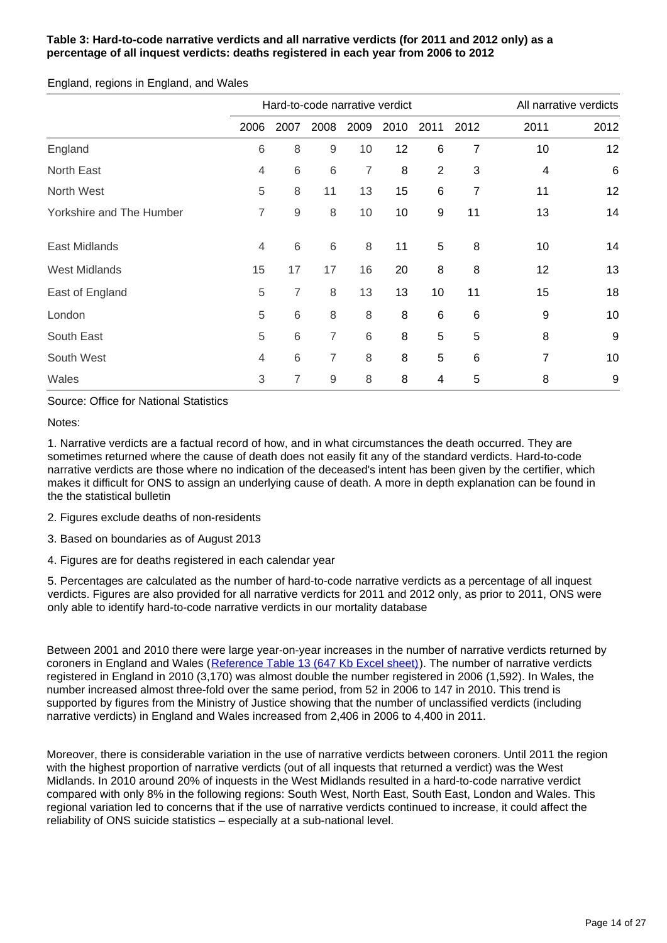### **Table 3: Hard-to-code narrative verdicts and all narrative verdicts (for 2011 and 2012 only) as a percentage of all inquest verdicts: deaths registered in each year from 2006 to 2012**

England, regions in England, and Wales

|                          | Hard-to-code narrative verdict |             |             |      |      |                |                | All narrative verdicts  |                 |
|--------------------------|--------------------------------|-------------|-------------|------|------|----------------|----------------|-------------------------|-----------------|
|                          | 2006                           | 2007        | 2008        | 2009 | 2010 | 2011           | 2012           | 2011                    | 2012            |
| England                  | 6                              | 8           | $\mathsf 9$ | 10   | 12   | 6              | $\overline{7}$ | 10                      | 12              |
| North East               | 4                              | $6\,$       | 6           | 7    | 8    | $\overline{2}$ | 3              | $\overline{\mathbf{4}}$ | $6\phantom{1}6$ |
| North West               | 5                              | 8           | 11          | 13   | 15   | 6              | 7              | 11                      | 12              |
| Yorkshire and The Humber | 7                              | $\mathsf 9$ | 8           | 10   | 10   | 9              | 11             | 13                      | 14              |
| <b>East Midlands</b>     | 4                              | $\,6$       | 6           | 8    | 11   | 5              | 8              | 10                      | 14              |
| <b>West Midlands</b>     | 15                             | 17          | 17          | 16   | 20   | 8              | 8              | 12                      | 13              |
| East of England          | 5                              | 7           | 8           | 13   | 13   | 10             | 11             | 15                      | 18              |
| London                   | 5                              | 6           | 8           | 8    | 8    | 6              | $\,6$          | 9                       | 10              |
| South East               | 5                              | 6           | 7           | 6    | 8    | 5              | 5              | 8                       | 9               |
| South West               | 4                              | 6           | 7           | 8    | 8    | 5              | 6              | 7                       | 10              |
| Wales                    | 3                              | 7           | 9           | 8    | 8    | 4              | 5              | 8                       | 9               |

Source: Office for National Statistics

Notes:

1. Narrative verdicts are a factual record of how, and in what circumstances the death occurred. They are sometimes returned where the cause of death does not easily fit any of the standard verdicts. Hard-to-code narrative verdicts are those where no indication of the deceased's intent has been given by the certifier, which makes it difficult for ONS to assign an underlying cause of death. A more in depth explanation can be found in the the statistical bulletin

2. Figures exclude deaths of non-residents

3. Based on boundaries as of August 2013

4. Figures are for deaths registered in each calendar year

5. Percentages are calculated as the number of hard-to-code narrative verdicts as a percentage of all inquest verdicts. Figures are also provided for all narrative verdicts for 2011 and 2012 only, as prior to 2011, ONS were only able to identify hard-to-code narrative verdicts in our mortality database

Between 2001 and 2010 there were large year-on-year increases in the number of narrative verdicts returned by coroners in England and Wales ([Reference Table 13 \(647 Kb Excel sheet\)](http://www.ons.gov.uk/ons/rel/subnational-health4/suicides-in-the-united-kingdom/2012/ref-suicides-2012.xls)). The number of narrative verdicts registered in England in 2010 (3,170) was almost double the number registered in 2006 (1,592). In Wales, the number increased almost three-fold over the same period, from 52 in 2006 to 147 in 2010. This trend is supported by figures from the Ministry of Justice showing that the number of unclassified verdicts (including narrative verdicts) in England and Wales increased from 2,406 in 2006 to 4,400 in 2011.

Moreover, there is considerable variation in the use of narrative verdicts between coroners. Until 2011 the region with the highest proportion of narrative verdicts (out of all inquests that returned a verdict) was the West Midlands. In 2010 around 20% of inquests in the West Midlands resulted in a hard-to-code narrative verdict compared with only 8% in the following regions: South West, North East, South East, London and Wales. This regional variation led to concerns that if the use of narrative verdicts continued to increase, it could affect the reliability of ONS suicide statistics – especially at a sub-national level.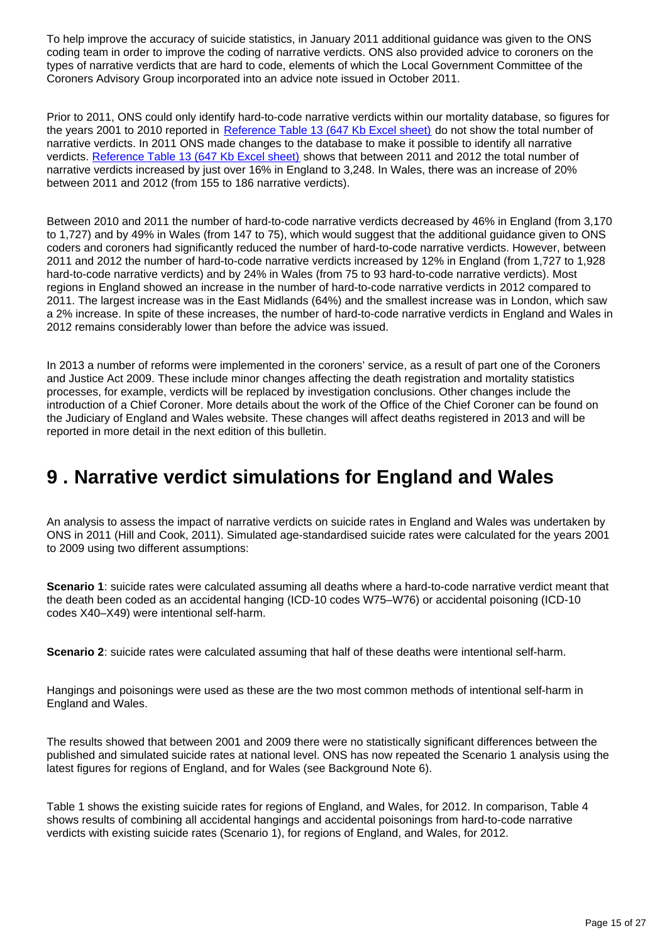To help improve the accuracy of suicide statistics, in January 2011 additional guidance was given to the ONS coding team in order to improve the coding of narrative verdicts. ONS also provided advice to coroners on the types of narrative verdicts that are hard to code, elements of which the Local Government Committee of the Coroners Advisory Group incorporated into an advice note issued in October 2011.

Prior to 2011, ONS could only identify hard-to-code narrative verdicts within our mortality database, so figures for the years 2001 to 2010 reported in [Reference Table 13 \(647 Kb Excel sheet\)](http://www.ons.gov.uk/ons/rel/subnational-health4/suicides-in-the-united-kingdom/2012/ref-suicides-2012.xls) do not show the total number of narrative verdicts. In 2011 ONS made changes to the database to make it possible to identify all narrative verdicts. [Reference Table 13 \(647 Kb Excel sheet\)](http://www.ons.gov.uk/ons/rel/subnational-health4/suicides-in-the-united-kingdom/2012/ref-suicides-2012.xls) shows that between 2011 and 2012 the total number of narrative verdicts increased by just over 16% in England to 3,248. In Wales, there was an increase of 20% between 2011 and 2012 (from 155 to 186 narrative verdicts).

Between 2010 and 2011 the number of hard-to-code narrative verdicts decreased by 46% in England (from 3,170 to 1,727) and by 49% in Wales (from 147 to 75), which would suggest that the additional guidance given to ONS coders and coroners had significantly reduced the number of hard-to-code narrative verdicts. However, between 2011 and 2012 the number of hard-to-code narrative verdicts increased by 12% in England (from 1,727 to 1,928 hard-to-code narrative verdicts) and by 24% in Wales (from 75 to 93 hard-to-code narrative verdicts). Most regions in England showed an increase in the number of hard-to-code narrative verdicts in 2012 compared to 2011. The largest increase was in the East Midlands (64%) and the smallest increase was in London, which saw a 2% increase. In spite of these increases, the number of hard-to-code narrative verdicts in England and Wales in 2012 remains considerably lower than before the advice was issued.

In 2013 a number of reforms were implemented in the coroners' service, as a result of part one of the Coroners and Justice Act 2009. These include minor changes affecting the death registration and mortality statistics processes, for example, verdicts will be replaced by investigation conclusions. Other changes include the introduction of a Chief Coroner. More details about the work of the Office of the Chief Coroner can be found on the Judiciary of England and Wales website. These changes will affect deaths registered in 2013 and will be reported in more detail in the next edition of this bulletin.

### <span id="page-14-0"></span>**9 . Narrative verdict simulations for England and Wales**

An analysis to assess the impact of narrative verdicts on suicide rates in England and Wales was undertaken by ONS in 2011 (Hill and Cook, 2011). Simulated age-standardised suicide rates were calculated for the years 2001 to 2009 using two different assumptions:

**Scenario 1**: suicide rates were calculated assuming all deaths where a hard-to-code narrative verdict meant that the death been coded as an accidental hanging (ICD-10 codes W75–W76) or accidental poisoning (ICD-10 codes X40–X49) were intentional self-harm.

**Scenario 2**: suicide rates were calculated assuming that half of these deaths were intentional self-harm.

Hangings and poisonings were used as these are the two most common methods of intentional self-harm in England and Wales.

The results showed that between 2001 and 2009 there were no statistically significant differences between the published and simulated suicide rates at national level. ONS has now repeated the Scenario 1 analysis using the latest figures for regions of England, and for Wales (see Background Note 6).

Table 1 shows the existing suicide rates for regions of England, and Wales, for 2012. In comparison, Table 4 shows results of combining all accidental hangings and accidental poisonings from hard-to-code narrative verdicts with existing suicide rates (Scenario 1), for regions of England, and Wales, for 2012.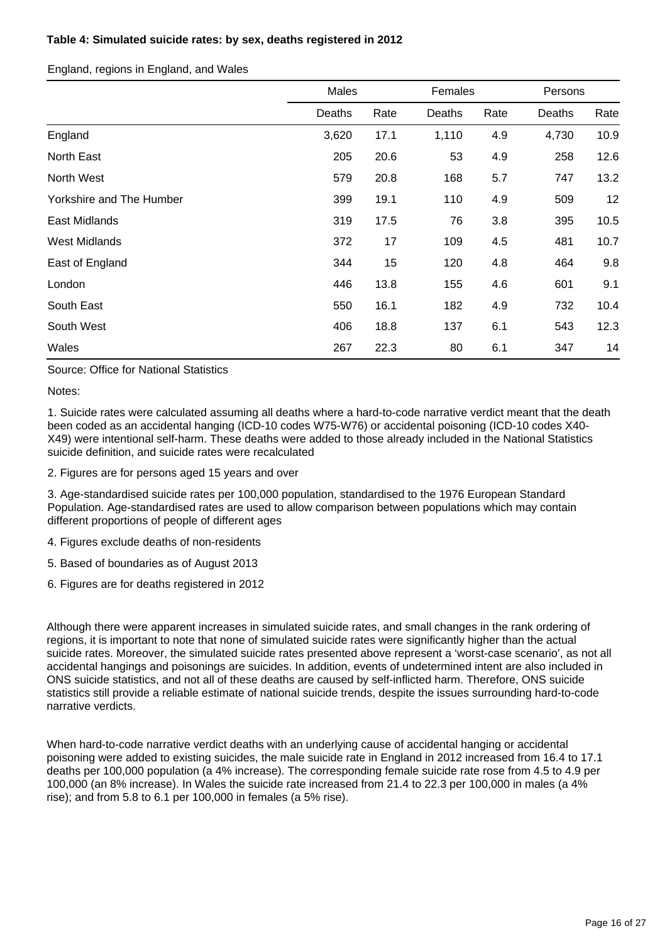### **Table 4: Simulated suicide rates: by sex, deaths registered in 2012**

England, regions in England, and Wales

|                          | Males  |      | Females |      | Persons |      |
|--------------------------|--------|------|---------|------|---------|------|
|                          | Deaths | Rate | Deaths  | Rate | Deaths  | Rate |
| England                  | 3,620  | 17.1 | 1,110   | 4.9  | 4,730   | 10.9 |
| North East               | 205    | 20.6 | 53      | 4.9  | 258     | 12.6 |
| North West               | 579    | 20.8 | 168     | 5.7  | 747     | 13.2 |
| Yorkshire and The Humber | 399    | 19.1 | 110     | 4.9  | 509     | 12   |
| East Midlands            | 319    | 17.5 | 76      | 3.8  | 395     | 10.5 |
| <b>West Midlands</b>     | 372    | 17   | 109     | 4.5  | 481     | 10.7 |
| East of England          | 344    | 15   | 120     | 4.8  | 464     | 9.8  |
| London                   | 446    | 13.8 | 155     | 4.6  | 601     | 9.1  |
| South East               | 550    | 16.1 | 182     | 4.9  | 732     | 10.4 |
| South West               | 406    | 18.8 | 137     | 6.1  | 543     | 12.3 |
| Wales                    | 267    | 22.3 | 80      | 6.1  | 347     | 14   |

Source: Office for National Statistics

Notes:

1. Suicide rates were calculated assuming all deaths where a hard-to-code narrative verdict meant that the death been coded as an accidental hanging (ICD-10 codes W75-W76) or accidental poisoning (ICD-10 codes X40- X49) were intentional self-harm. These deaths were added to those already included in the National Statistics suicide definition, and suicide rates were recalculated

2. Figures are for persons aged 15 years and over

3. Age-standardised suicide rates per 100,000 population, standardised to the 1976 European Standard Population. Age-standardised rates are used to allow comparison between populations which may contain different proportions of people of different ages

4. Figures exclude deaths of non-residents

5. Based of boundaries as of August 2013

6. Figures are for deaths registered in 2012

Although there were apparent increases in simulated suicide rates, and small changes in the rank ordering of regions, it is important to note that none of simulated suicide rates were significantly higher than the actual suicide rates. Moreover, the simulated suicide rates presented above represent a 'worst-case scenario', as not all accidental hangings and poisonings are suicides. In addition, events of undetermined intent are also included in ONS suicide statistics, and not all of these deaths are caused by self-inflicted harm. Therefore, ONS suicide statistics still provide a reliable estimate of national suicide trends, despite the issues surrounding hard-to-code narrative verdicts.

When hard-to-code narrative verdict deaths with an underlying cause of accidental hanging or accidental poisoning were added to existing suicides, the male suicide rate in England in 2012 increased from 16.4 to 17.1 deaths per 100,000 population (a 4% increase). The corresponding female suicide rate rose from 4.5 to 4.9 per 100,000 (an 8% increase). In Wales the suicide rate increased from 21.4 to 22.3 per 100,000 in males (a 4% rise); and from 5.8 to 6.1 per 100,000 in females (a 5% rise).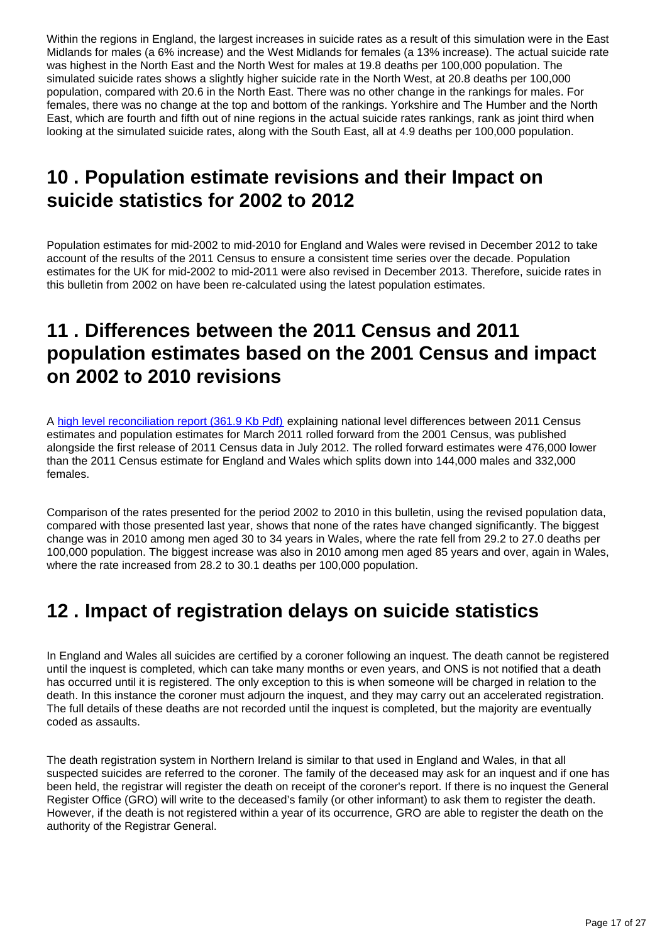Within the regions in England, the largest increases in suicide rates as a result of this simulation were in the East Midlands for males (a 6% increase) and the West Midlands for females (a 13% increase). The actual suicide rate was highest in the North East and the North West for males at 19.8 deaths per 100,000 population. The simulated suicide rates shows a slightly higher suicide rate in the North West, at 20.8 deaths per 100,000 population, compared with 20.6 in the North East. There was no other change in the rankings for males. For females, there was no change at the top and bottom of the rankings. Yorkshire and The Humber and the North East, which are fourth and fifth out of nine regions in the actual suicide rates rankings, rank as joint third when looking at the simulated suicide rates, along with the South East, all at 4.9 deaths per 100,000 population.

## <span id="page-16-0"></span>**10 . Population estimate revisions and their Impact on suicide statistics for 2002 to 2012**

Population estimates for mid-2002 to mid-2010 for England and Wales were revised in December 2012 to take account of the results of the 2011 Census to ensure a consistent time series over the decade. Population estimates for the UK for mid-2002 to mid-2011 were also revised in December 2013. Therefore, suicide rates in this bulletin from 2002 on have been re-calculated using the latest population estimates.

## <span id="page-16-1"></span>**11 . Differences between the 2011 Census and 2011 population estimates based on the 2001 Census and impact on 2002 to 2010 revisions**

A [high level reconciliation report \(361.9 Kb Pdf\)](http://www.ons.gov.uk/ons/guide-method/method-quality/specific/population-and-migration/population-statistics-research-unit--psru-/difference-between-the-2011-census-estimates-and-the-rolled-forward-population-estimates.pdf) explaining national level differences between 2011 Census estimates and population estimates for March 2011 rolled forward from the 2001 Census, was published alongside the first release of 2011 Census data in July 2012. The rolled forward estimates were 476,000 lower than the 2011 Census estimate for England and Wales which splits down into 144,000 males and 332,000 females.

Comparison of the rates presented for the period 2002 to 2010 in this bulletin, using the revised population data, compared with those presented last year, shows that none of the rates have changed significantly. The biggest change was in 2010 among men aged 30 to 34 years in Wales, where the rate fell from 29.2 to 27.0 deaths per 100,000 population. The biggest increase was also in 2010 among men aged 85 years and over, again in Wales, where the rate increased from 28.2 to 30.1 deaths per 100,000 population.

## <span id="page-16-2"></span>**12 . Impact of registration delays on suicide statistics**

In England and Wales all suicides are certified by a coroner following an inquest. The death cannot be registered until the inquest is completed, which can take many months or even years, and ONS is not notified that a death has occurred until it is registered. The only exception to this is when someone will be charged in relation to the death. In this instance the coroner must adjourn the inquest, and they may carry out an accelerated registration. The full details of these deaths are not recorded until the inquest is completed, but the majority are eventually coded as assaults.

The death registration system in Northern Ireland is similar to that used in England and Wales, in that all suspected suicides are referred to the coroner. The family of the deceased may ask for an inquest and if one has been held, the registrar will register the death on receipt of the coroner's report. If there is no inquest the General Register Office (GRO) will write to the deceased's family (or other informant) to ask them to register the death. However, if the death is not registered within a year of its occurrence, GRO are able to register the death on the authority of the Registrar General.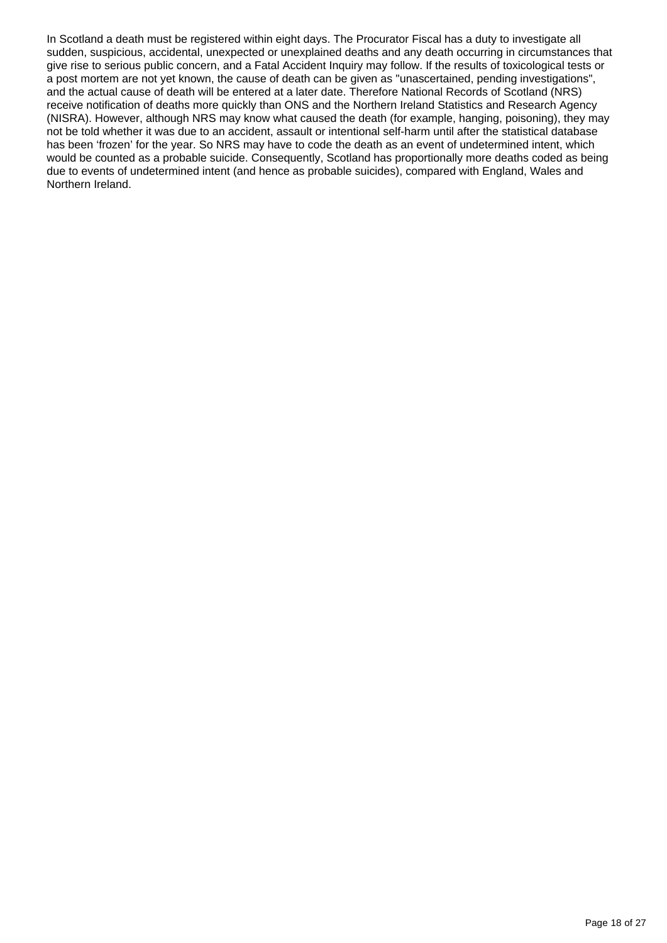In Scotland a death must be registered within eight days. The Procurator Fiscal has a duty to investigate all sudden, suspicious, accidental, unexpected or unexplained deaths and any death occurring in circumstances that give rise to serious public concern, and a Fatal Accident Inquiry may follow. If the results of toxicological tests or a post mortem are not yet known, the cause of death can be given as "unascertained, pending investigations", and the actual cause of death will be entered at a later date. Therefore National Records of Scotland (NRS) receive notification of deaths more quickly than ONS and the Northern Ireland Statistics and Research Agency (NISRA). However, although NRS may know what caused the death (for example, hanging, poisoning), they may not be told whether it was due to an accident, assault or intentional self-harm until after the statistical database has been 'frozen' for the year. So NRS may have to code the death as an event of undetermined intent, which would be counted as a probable suicide. Consequently, Scotland has proportionally more deaths coded as being due to events of undetermined intent (and hence as probable suicides), compared with England, Wales and Northern Ireland.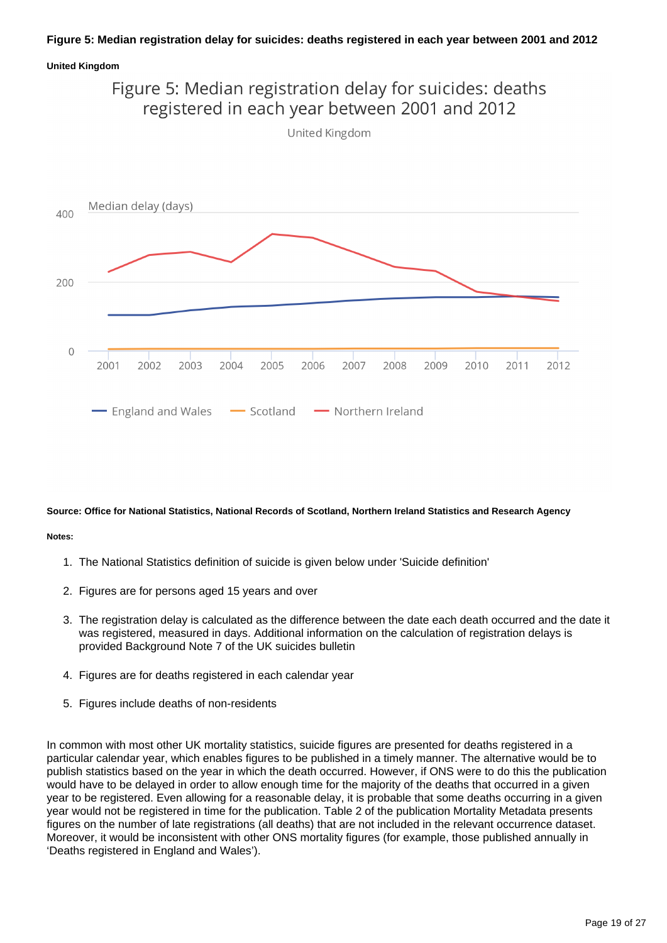### **Figure 5: Median registration delay for suicides: deaths registered in each year between 2001 and 2012**

#### **United Kingdom**



#### **Source: Office for National Statistics, National Records of Scotland, Northern Ireland Statistics and Research Agency**

#### **Notes:**

- 1. The National Statistics definition of suicide is given below under 'Suicide definition'
- 2. Figures are for persons aged 15 years and over
- 3. The registration delay is calculated as the difference between the date each death occurred and the date it was registered, measured in days. Additional information on the calculation of registration delays is provided Background Note 7 of the UK suicides bulletin
- 4. Figures are for deaths registered in each calendar year
- 5. Figures include deaths of non-residents

In common with most other UK mortality statistics, suicide figures are presented for deaths registered in a particular calendar year, which enables figures to be published in a timely manner. The alternative would be to publish statistics based on the year in which the death occurred. However, if ONS were to do this the publication would have to be delayed in order to allow enough time for the majority of the deaths that occurred in a given year to be registered. Even allowing for a reasonable delay, it is probable that some deaths occurring in a given year would not be registered in time for the publication. Table 2 of the publication Mortality Metadata presents figures on the number of late registrations (all deaths) that are not included in the relevant occurrence dataset. Moreover, it would be inconsistent with other ONS mortality figures (for example, those published annually in 'Deaths registered in England and Wales').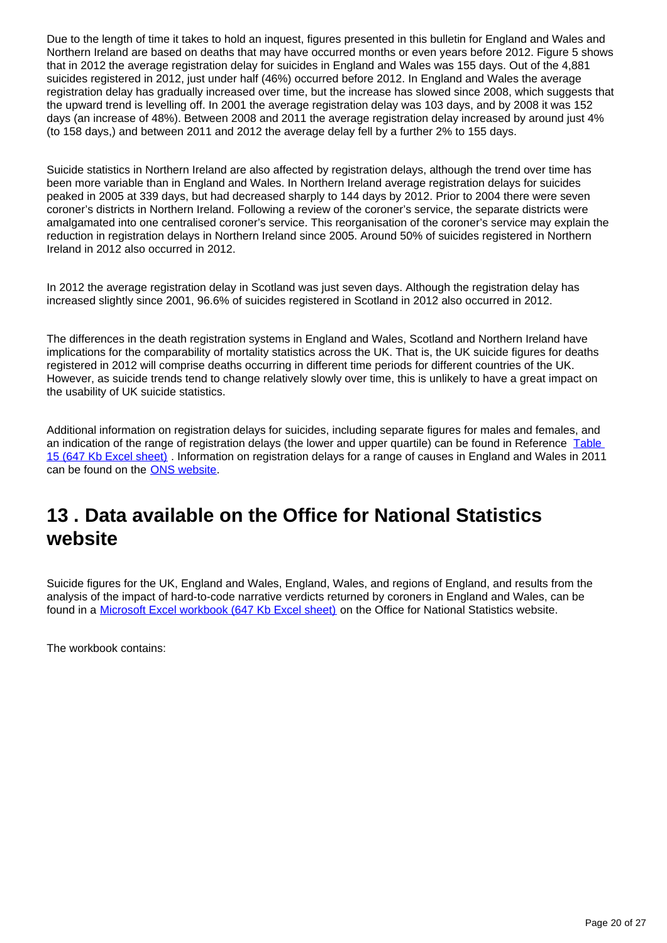Due to the length of time it takes to hold an inquest, figures presented in this bulletin for England and Wales and Northern Ireland are based on deaths that may have occurred months or even years before 2012. Figure 5 shows that in 2012 the average registration delay for suicides in England and Wales was 155 days. Out of the 4,881 suicides registered in 2012, just under half (46%) occurred before 2012. In England and Wales the average registration delay has gradually increased over time, but the increase has slowed since 2008, which suggests that the upward trend is levelling off. In 2001 the average registration delay was 103 days, and by 2008 it was 152 days (an increase of 48%). Between 2008 and 2011 the average registration delay increased by around just 4% (to 158 days,) and between 2011 and 2012 the average delay fell by a further 2% to 155 days.

Suicide statistics in Northern Ireland are also affected by registration delays, although the trend over time has been more variable than in England and Wales. In Northern Ireland average registration delays for suicides peaked in 2005 at 339 days, but had decreased sharply to 144 days by 2012. Prior to 2004 there were seven coroner's districts in Northern Ireland. Following a review of the coroner's service, the separate districts were amalgamated into one centralised coroner's service. This reorganisation of the coroner's service may explain the reduction in registration delays in Northern Ireland since 2005. Around 50% of suicides registered in Northern Ireland in 2012 also occurred in 2012.

In 2012 the average registration delay in Scotland was just seven days. Although the registration delay has increased slightly since 2001, 96.6% of suicides registered in Scotland in 2012 also occurred in 2012.

The differences in the death registration systems in England and Wales, Scotland and Northern Ireland have implications for the comparability of mortality statistics across the UK. That is, the UK suicide figures for deaths registered in 2012 will comprise deaths occurring in different time periods for different countries of the UK. However, as suicide trends tend to change relatively slowly over time, this is unlikely to have a great impact on the usability of UK suicide statistics.

Additional information on registration delays for suicides, including separate figures for males and females, and an indication of the range of registration delays (the lower and upper quartile) can be found in Reference Table [15 \(647 Kb Excel sheet\)](http://www.ons.gov.uk/ons/rel/subnational-health4/suicides-in-the-united-kingdom/2012/ref-suicides-2012.xls) . Information on registration delays for a range of causes in England and Wales in 2011 can be found on the **ONS** website.

### <span id="page-19-0"></span>**13 . Data available on the Office for National Statistics website**

Suicide figures for the UK, England and Wales, England, Wales, and regions of England, and results from the analysis of the impact of hard-to-code narrative verdicts returned by coroners in England and Wales, can be found in a [Microsoft Excel workbook \(647 Kb Excel sheet\)](http://www.ons.gov.uk/ons/rel/subnational-health4/suicides-in-the-united-kingdom/2012/ref-suicides-2012.xls) on the Office for National Statistics website.

The workbook contains: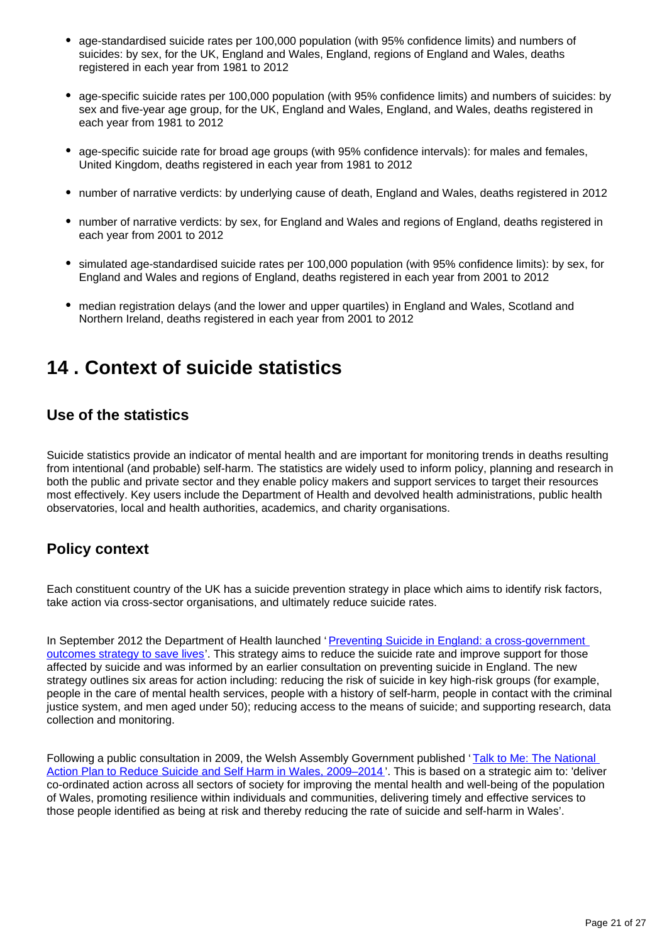- age-standardised suicide rates per 100,000 population (with 95% confidence limits) and numbers of suicides: by sex, for the UK, England and Wales, England, regions of England and Wales, deaths registered in each year from 1981 to 2012
- age-specific suicide rates per 100,000 population (with 95% confidence limits) and numbers of suicides: by sex and five-year age group, for the UK, England and Wales, England, and Wales, deaths registered in each year from 1981 to 2012
- age-specific suicide rate for broad age groups (with 95% confidence intervals): for males and females, United Kingdom, deaths registered in each year from 1981 to 2012
- number of narrative verdicts: by underlying cause of death, England and Wales, deaths registered in 2012
- number of narrative verdicts: by sex, for England and Wales and regions of England, deaths registered in each year from 2001 to 2012
- simulated age-standardised suicide rates per 100,000 population (with 95% confidence limits): by sex, for England and Wales and regions of England, deaths registered in each year from 2001 to 2012
- median registration delays (and the lower and upper quartiles) in England and Wales, Scotland and Northern Ireland, deaths registered in each year from 2001 to 2012

### <span id="page-20-0"></span>**14 . Context of suicide statistics**

### **Use of the statistics**

Suicide statistics provide an indicator of mental health and are important for monitoring trends in deaths resulting from intentional (and probable) self-harm. The statistics are widely used to inform policy, planning and research in both the public and private sector and they enable policy makers and support services to target their resources most effectively. Key users include the Department of Health and devolved health administrations, public health observatories, local and health authorities, academics, and charity organisations.

### **Policy context**

Each constituent country of the UK has a suicide prevention strategy in place which aims to identify risk factors, take action via cross-sector organisations, and ultimately reduce suicide rates.

In September 2012 the Department of Health launched '[Preventing Suicide in England: a cross-government](http://www.ons.gov.uk/ons/external-links/other-government-departments/doh/dh---preventing-suicide-in-england--pdf-.html)  [outcomes strategy to save lives'](http://www.ons.gov.uk/ons/external-links/other-government-departments/doh/dh---preventing-suicide-in-england--pdf-.html). This strategy aims to reduce the suicide rate and improve support for those affected by suicide and was informed by an earlier consultation on preventing suicide in England. The new strategy outlines six areas for action including: reducing the risk of suicide in key high-risk groups (for example, people in the care of mental health services, people with a history of self-harm, people in contact with the criminal justice system, and men aged under 50); reducing access to the means of suicide; and supporting research, data collection and monitoring.

Following a public consultation in 2009, the Welsh Assembly Government published 'Talk to Me: The National [Action Plan to Reduce Suicide and Self Harm in Wales, 2009–2014](http://www.ons.gov.uk/ons/external-links/devolved-admins/welsh-assembly-government/welsh-government---national-action-plan-to-reduce-suicide-in-wales-2009-2014.html) '. This is based on a strategic aim to: 'deliver co-ordinated action across all sectors of society for improving the mental health and well-being of the population of Wales, promoting resilience within individuals and communities, delivering timely and effective services to those people identified as being at risk and thereby reducing the rate of suicide and self-harm in Wales'.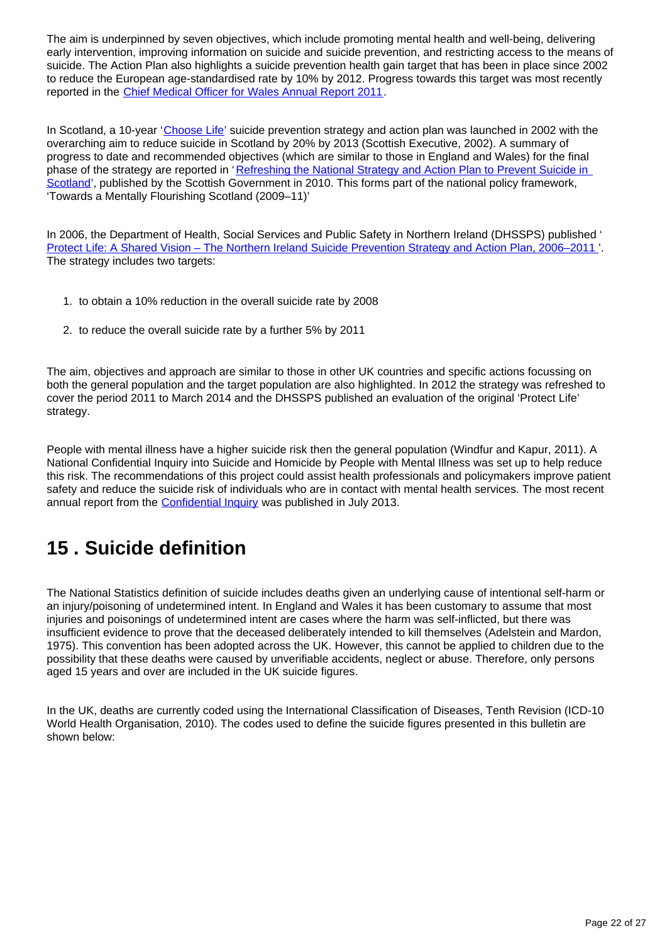The aim is underpinned by seven objectives, which include promoting mental health and well-being, delivering early intervention, improving information on suicide and suicide prevention, and restricting access to the means of suicide. The Action Plan also highlights a suicide prevention health gain target that has been in place since 2002 to reduce the European age-standardised rate by 10% by 2012. Progress towards this target was most recently reported in the [Chief Medical Officer for Wales Annual Report 2011](http://wales.gov.uk/topics/health/cmo/publications/annual/report2011/?lang=en).

In Scotland, a 10-year '[Choose Life](http://www.scotland.gov.uk/Publications/2002/12/15873/14466)' suicide prevention strategy and action plan was launched in 2002 with the overarching aim to reduce suicide in Scotland by 20% by 2013 (Scottish Executive, 2002). A summary of progress to date and recommended objectives (which are similar to those in England and Wales) for the final phase of the strategy are reported in 'Refreshing the National Strategy and Action Plan to Prevent Suicide in [Scotland](http://www.scotland.gov.uk/Publications/2010/10/26112102/0)', published by the Scottish Government in 2010. This forms part of the national policy framework. 'Towards a Mentally Flourishing Scotland (2009–11)'

In 2006, the Department of Health, Social Services and Public Safety in Northern Ireland (DHSSPS) published ' [Protect Life: A Shared Vision – The Northern Ireland Suicide Prevention Strategy and Action Plan, 2006–2011](http://www.dhsspsni.gov.uk/phnisuicidepreventionstrategy_action_plan-3.pdf) '. The strategy includes two targets:

- 1. to obtain a 10% reduction in the overall suicide rate by 2008
- 2. to reduce the overall suicide rate by a further 5% by 2011

The aim, objectives and approach are similar to those in other UK countries and specific actions focussing on both the general population and the target population are also highlighted. In 2012 the strategy was refreshed to cover the period 2011 to March 2014 and the DHSSPS published an evaluation of the original 'Protect Life' strategy.

People with mental illness have a higher suicide risk then the general population (Windfur and Kapur, 2011). A National Confidential Inquiry into Suicide and Homicide by People with Mental Illness was set up to help reduce this risk. The recommendations of this project could assist health professionals and policymakers improve patient safety and reduce the suicide risk of individuals who are in contact with mental health services. The most recent annual report from the [Confidential Inquiry](http://www.bbmh.manchester.ac.uk/cmhr/#Annual_reports) was published in July 2013.

## <span id="page-21-0"></span>**15 . Suicide definition**

The National Statistics definition of suicide includes deaths given an underlying cause of intentional self-harm or an injury/poisoning of undetermined intent. In England and Wales it has been customary to assume that most injuries and poisonings of undetermined intent are cases where the harm was self-inflicted, but there was insufficient evidence to prove that the deceased deliberately intended to kill themselves (Adelstein and Mardon, 1975). This convention has been adopted across the UK. However, this cannot be applied to children due to the possibility that these deaths were caused by unverifiable accidents, neglect or abuse. Therefore, only persons aged 15 years and over are included in the UK suicide figures.

In the UK, deaths are currently coded using the International Classification of Diseases, Tenth Revision (ICD-10 World Health Organisation, 2010). The codes used to define the suicide figures presented in this bulletin are shown below: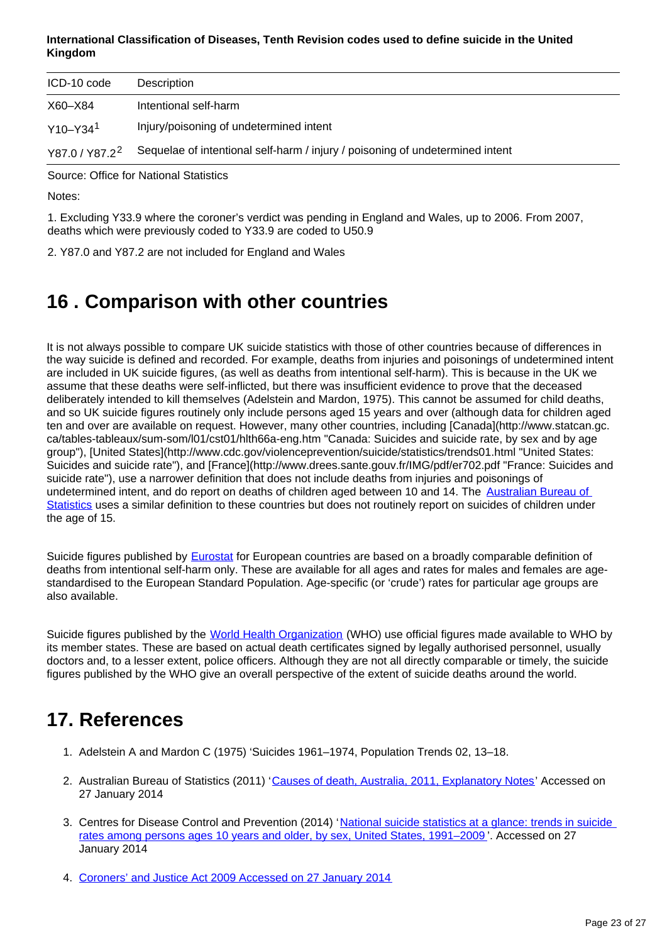### **International Classification of Diseases, Tenth Revision codes used to define suicide in the United Kingdom**

| ICD-10 code              | Description                                                                   |
|--------------------------|-------------------------------------------------------------------------------|
| X60-X84                  | Intentional self-harm                                                         |
| $Y10 - Y34$ <sup>1</sup> | Injury/poisoning of undetermined intent                                       |
| $Y87.0 / Y87.2^2$        | Sequelae of intentional self-harm / injury / poisoning of undetermined intent |

Source: Office for National Statistics

Notes:

1. Excluding Y33.9 where the coroner's verdict was pending in England and Wales, up to 2006. From 2007, deaths which were previously coded to Y33.9 are coded to U50.9

2. Y87.0 and Y87.2 are not included for England and Wales

## <span id="page-22-0"></span>**16 . Comparison with other countries**

It is not always possible to compare UK suicide statistics with those of other countries because of differences in the way suicide is defined and recorded. For example, deaths from injuries and poisonings of undetermined intent are included in UK suicide figures, (as well as deaths from intentional self-harm). This is because in the UK we assume that these deaths were self-inflicted, but there was insufficient evidence to prove that the deceased deliberately intended to kill themselves (Adelstein and Mardon, 1975). This cannot be assumed for child deaths, and so UK suicide figures routinely only include persons aged 15 years and over (although data for children aged ten and over are available on request. However, many other countries, including [Canada](http://www.statcan.gc. ca/tables-tableaux/sum-som/l01/cst01/hlth66a-eng.htm "Canada: Suicides and suicide rate, by sex and by age group"), [United States](http://www.cdc.gov/violenceprevention/suicide/statistics/trends01.html "United States: Suicides and suicide rate"), and [France](http://www.drees.sante.gouv.fr/IMG/pdf/er702.pdf "France: Suicides and suicide rate"), use a narrower definition that does not include deaths from injuries and poisonings of undetermined intent, and do report on deaths of children aged between 10 and 14. The Australian Bureau of [Statistics](http://www.abs.gov.au/ausstats/abs@.nsf/Lookup/3303.0Explanatory+Notes12011) uses a similar definition to these countries but does not routinely report on suicides of children under the age of 15.

Suicide figures published by [Eurostat](http://epp.eurostat.ec.europa.eu/statistics_explained/index.php/Causes_of_death_statistics) for European countries are based on a broadly comparable definition of deaths from intentional self-harm only. These are available for all ages and rates for males and females are agestandardised to the European Standard Population. Age-specific (or 'crude') rates for particular age groups are also available.

Suicide figures published by the [World Health Organization](http://www.who.int/mental_health/prevention/suicide/suicideprevent/en/) (WHO) use official figures made available to WHO by its member states. These are based on actual death certificates signed by legally authorised personnel, usually doctors and, to a lesser extent, police officers. Although they are not all directly comparable or timely, the suicide figures published by the WHO give an overall perspective of the extent of suicide deaths around the world.

## **17. References**

- 1. Adelstein A and Mardon C (1975) 'Suicides 1961–1974, Population Trends 02, 13–18.
- 2. Australian Bureau of Statistics (2011) '<u>Causes of death, Australia, 2011, Explanatory Notes</u>' Accessed on 27 January 2014
- 3. Centres for Disease Control and Prevention (2014) 'National suicide statistics at a glance: trends in suicide [rates among persons ages 10 years and older, by sex, United States, 1991–2009](http://www.cdc.gov/violenceprevention/suicide/statistics/trends01.html) '. Accessed on 27 January 2014
- 4. [Coroners' and Justice Act 2009 Accessed on 27 January 2014](http://www.legislation.gov.uk/ukpga/2009/25/contents)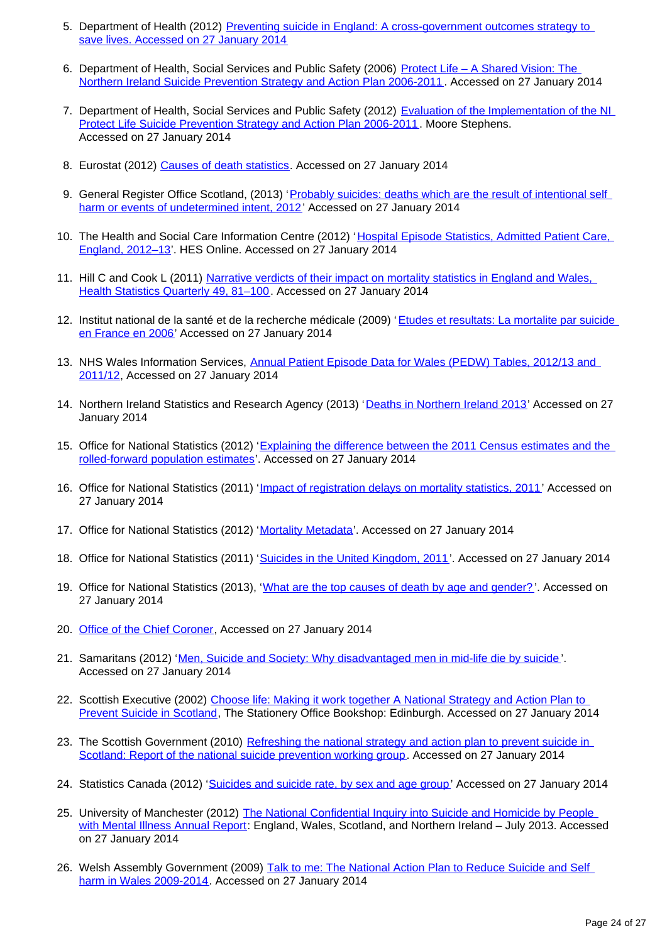- 5. Department of Health (2012) Preventing suicide in England: A cross-government outcomes strategy to [save lives. Accessed on 27 January 2014](http://www.dh.gov.uk/health/2012/09/suicide-prevention/)
- 6. Department of Health, Social Services and Public Safety (2006) Protect Life A Shared Vision: The [Northern Ireland Suicide Prevention Strategy and Action Plan 2006-2011](http://www.dhsspsni.gov.uk/phnisuicidepreventionstrategy_action_plan-3.pdf) . Accessed on 27 January 2014
- 7. Department of Health, Social Services and Public Safety (2012) Evaluation of the Implementation of the NI [Protect Life Suicide Prevention Strategy and Action Plan 2006-2011](http://www.dhsspsni.gov.uk/protect-life-evaluation-report.pdf). Moore Stephens. Accessed on 27 January 2014
- 8. Eurostat (2012) [Causes of death statistics.](http://epp.eurostat.ec.europa.eu/statistics_explained/index.php/Causes_of_death_statistics) Accessed on 27 January 2014
- 9. General Register Office Scotland, (2013) 'Probably suicides: deaths which are the result of intentional self [harm or events of undetermined intent, 2012](http://www.gro-scotland.gov.uk/statistics/theme/vital-events/deaths/suicides/)' Accessed on 27 January 2014
- 10. The Health and Social Care Information Centre (2012) 'Hospital Episode Statistics, Admitted Patient Care, [England, 2012–13'](http://www.hscic.gov.uk/searchcatalogue?productid=13264&q=title:%22Hospital%20Episode%20Statistics,%20Admitted%20patient%20care). HES Online. Accessed on 27 January 2014
- 11. Hill C and Cook L (2011) Narrative verdicts of their impact on mortality statistics in England and Wales, [Health Statistics Quarterly 49, 81–100](http://www.ons.gov.uk/ons/rel/hsq/health-statistics-quarterly/spring-2011/narrative-verdicts-and-their-impact-on-mortality-statistics-in-england-and-wales.pdf). Accessed on 27 January 2014
- 12. Institut national de la santé et de la recherche médicale (2009) 'Etudes et resultats: La mortalite par suicide [en France en 2006'](http://www.drees.sante.gouv.fr/IMG/pdf/er702.pdf) Accessed on 27 January 2014
- 13. NHS Wales Information Services, Annual Patient Episode Data for Wales (PEDW) Tables, 2012/13 and [2011/12](http://www.infoandstats.wales.nhs.uk/page.cfm?orgid=869&pid=41010&subjectlist=External%20Causes&patientcoverlist=0&period=0&keyword=&action=Search), Accessed on 27 January 2014
- 14. Northern Ireland Statistics and Research Agency (2013) '[Deaths in Northern Ireland 2013'](http://www.nisra.gov.uk/archive/demography/publications/births_deaths/deaths_2012.pdf) Accessed on 27 January 2014
- 15. Office for National Statistics (2012) 'Explaining the difference between the 2011 Census estimates and the [rolled-forward population estimates'](http://www.ons.gov.uk/ons/guide-method/method-quality/specific/population-and-migration/population-statistics-research-unit--psru-/difference-between-the-2011-census-estimates-and-the-rolled-forward-population-estimates.pdf). Accessed on 27 January 2014
- 16. Office for National Statistics (2011) '[Impact of registration delays on mortality statistics, 2011'](http://www.ons.gov.uk/ons/guide-method/user-guidance/health-and-life-events/impact-of-registration-delays-on-mortality-statistics/index.html) Accessed on 27 January 2014
- 17. Office for National Statistics (2012) '[Mortality Metadata](http://www.ons.gov.uk/ons/guide-method/user-guidance/health-and-life-events/mortality-metadata.pdf)'. Accessed on 27 January 2014
- 18. Office for National Statistics (2011) '[Suicides in the United Kingdom, 2011](http://www.ons.gov.uk/ons/rel/subnational-health4/suicides-in-the-united-kingdom/2011/stb-suicide-bulletin.html)'. Accessed on 27 January 2014
- 19. Office for National Statistics (2013), '[What are the top causes of death by age and gender?](http://www.ons.gov.uk/ons/rel/vsob1/mortality-statistics--deaths-registered-in-england-and-wales--series-dr-/2012/info-causes-of-death.html)'. Accessed on 27 January 2014
- 20. [Office of the Chief Coroner](http://www.judiciary.gov.uk/about-the-judiciary/office-chief-coroner), Accessed on 27 January 2014
- 21. Samaritans (2012) '[Men, Suicide and Society: Why disadvantaged men in mid-life die by suicide](http://www.samaritans.org/sites/default/files/kcfinder/files/press/Men%20Suicide%20and%20Society%20Research%20Report%20151112.pdf)'. Accessed on 27 January 2014
- 22. Scottish Executive (2002) Choose life: Making it work together A National Strategy and Action Plan to [Prevent Suicide in Scotland](http://www.scotland.gov.uk/Publications/2002/12/15873/14466), The Stationery Office Bookshop: Edinburgh. Accessed on 27 January 2014
- 23. The Scottish Government (2010) Refreshing the national strategy and action plan to prevent suicide in [Scotland: Report of the national suicide prevention working group.](http://www.scotland.gov.uk/Publications/2010/10/26112102/0) Accessed on 27 January 2014
- 24. Statistics Canada (2012) '[Suicides and suicide rate, by sex and age group](http://www.statcan.gc.ca/tables-tableaux/sum-som/l01/cst01/hlth66a-eng.htm)' Accessed on 27 January 2014
- 25. University of Manchester (2012) The National Confidential Inquiry into Suicide and Homicide by People [with Mental Illness Annual Report:](http://ttp://www.medicine.manchester.ac.uk/cmhr/centreforsuicideprevention/nci/reports/#Annual_reports) England, Wales, Scotland, and Northern Ireland – July 2013. Accessed on 27 January 2014
- 26. Welsh Assembly Government (2009) Talk to me: The National Action Plan to Reduce Suicide and Self harm in Wales 2009-2014</u>. Accessed on 27 January 2014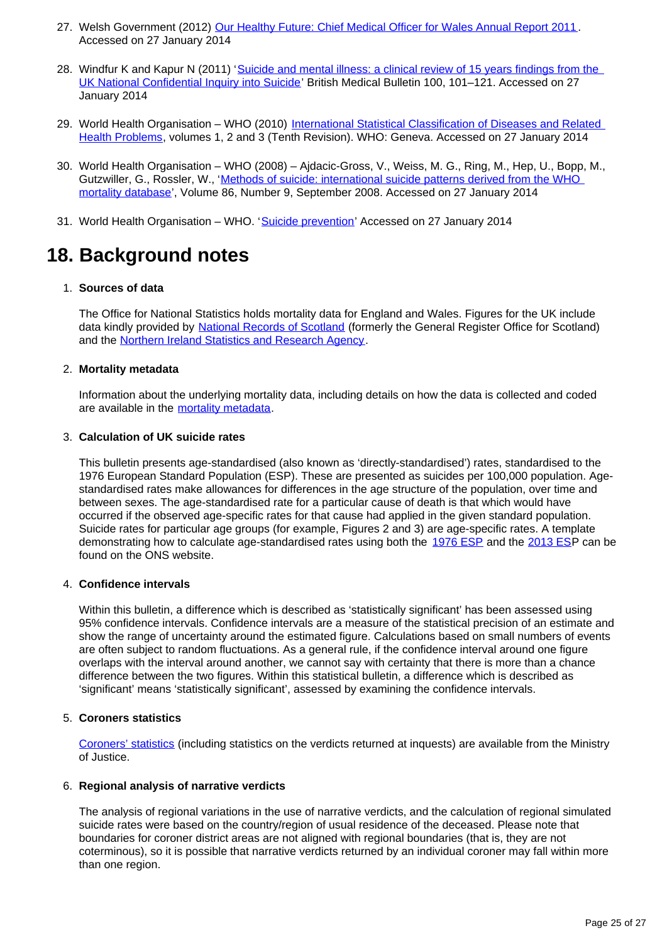- 27. Welsh Government (2012) [Our Healthy Future: Chief Medical Officer for Wales Annual Report 2011](http://wales.gov.uk/topics/health/ocmo/publications/annual/report2011/?lang=en). Accessed on 27 January 2014
- 28. Windfur K and Kapur N (2011) 'Suicide and mental illness: a clinical review of 15 years findings from the [UK National Confidential Inquiry into Suicide](http://bmb.oxfordjournals.org/content/100/1/101.full.pdf)' British Medical Bulletin 100, 101–121. Accessed on 27 January 2014
- 29. World Health Organisation WHO (2010) International Statistical Classification of Diseases and Related [Health Problems](http://apps.who.int/classifications/icd/en/index.html), volumes 1, 2 and 3 (Tenth Revision). WHO: Geneva. Accessed on 27 January 2014
- 30. World Health Organisation WHO (2008) Ajdacic-Gross, V., Weiss, M. G., Ring, M., Hep, U., Bopp, M., Gutzwiller, G., Rossler, W., '[Methods of suicide: international suicide patterns derived from the WHO](http://www.who.int/bulletin/volumes/86/9/07-043489/en/)  [mortality database](http://www.who.int/bulletin/volumes/86/9/07-043489/en/)', Volume 86, Number 9, September 2008. Accessed on 27 January 2014
- 31. World Health Organisation WHO. '[Suicide prevention'](http://www.who.int/mental_health/prevention/suicide/suicideprevent/en/) Accessed on 27 January 2014

## **18. Background notes**

### 1. **Sources of data**

The Office for National Statistics holds mortality data for England and Wales. Figures for the UK include data kindly provided by [National Records of Scotland](http://www.ons.gov.uk/ons/external-links/devolved-admins/national-records-of-scotland/gro--probable-suicides.html) (formerly the General Register Office for Scotland) and the [Northern Ireland Statistics and Research Agency](http://www.ons.gov.uk/ons/external-links/devolved-admins/nisra/nisra--demography-suicide-deaths.html).

### 2. **Mortality metadata**

Information about the underlying mortality data, including details on how the data is collected and coded are available in the [mortality metadata.](http://www.ons.gov.uk/ons/guide-method/user-guidance/health-and-life-events/mortality-metadata.pdf)

### 3. **Calculation of UK suicide rates**

This bulletin presents age-standardised (also known as 'directly-standardised') rates, standardised to the 1976 European Standard Population (ESP). These are presented as suicides per 100,000 population. Agestandardised rates make allowances for differences in the age structure of the population, over time and between sexes. The age-standardised rate for a particular cause of death is that which would have occurred if the observed age-specific rates for that cause had applied in the given standard population. Suicide rates for particular age groups (for example, Figures 2 and 3) are age-specific rates. A template demonstrating how to calculate age-standardised rates using both the [1976 ESP](http://www.ons.gov.uk/ons/guide-method/user-guidance/health-and-life-events/age-standardised-mortality-rate-calculation-template.xls) and the [2013 ES](http://www.ons.gov.uk/ons/guide-method/user-guidance/health-and-life-events/revised-european-standard-population-2013--2013-esp-/index.html)P can be found on the ONS website.

### 4. **Confidence intervals**

Within this bulletin, a difference which is described as 'statistically significant' has been assessed using 95% confidence intervals. Confidence intervals are a measure of the statistical precision of an estimate and show the range of uncertainty around the estimated figure. Calculations based on small numbers of events are often subject to random fluctuations. As a general rule, if the confidence interval around one figure overlaps with the interval around another, we cannot say with certainty that there is more than a chance difference between the two figures. Within this statistical bulletin, a difference which is described as 'significant' means 'statistically significant', assessed by examining the confidence intervals.

### 5. **Coroners statistics**

[Coroners' statistics](http://www.ons.gov.uk/ons/external-links/other-government-departments/gov-uk/coroners-statistics-2007---2011.html) (including statistics on the verdicts returned at inquests) are available from the Ministry of Justice.

### 6. **Regional analysis of narrative verdicts**

The analysis of regional variations in the use of narrative verdicts, and the calculation of regional simulated suicide rates were based on the country/region of usual residence of the deceased. Please note that boundaries for coroner district areas are not aligned with regional boundaries (that is, they are not coterminous), so it is possible that narrative verdicts returned by an individual coroner may fall within more than one region.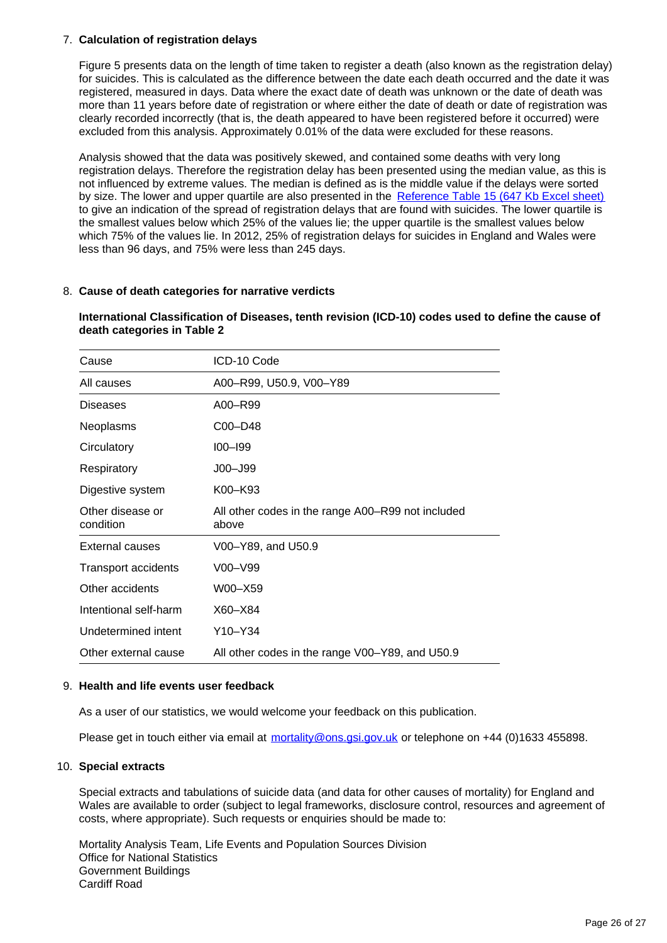### 7. **Calculation of registration delays**

Figure 5 presents data on the length of time taken to register a death (also known as the registration delay) for suicides. This is calculated as the difference between the date each death occurred and the date it was registered, measured in days. Data where the exact date of death was unknown or the date of death was more than 11 years before date of registration or where either the date of death or date of registration was clearly recorded incorrectly (that is, the death appeared to have been registered before it occurred) were excluded from this analysis. Approximately 0.01% of the data were excluded for these reasons.

Analysis showed that the data was positively skewed, and contained some deaths with very long registration delays. Therefore the registration delay has been presented using the median value, as this is not influenced by extreme values. The median is defined as is the middle value if the delays were sorted by size. The lower and upper quartile are also presented in the [Reference Table 15 \(647 Kb Excel sheet\)](http://www.ons.gov.uk/ons/rel/subnational-health4/suicides-in-the-united-kingdom/2012/ref-suicides-2012.xls) to give an indication of the spread of registration delays that are found with suicides. The lower quartile is the smallest values below which 25% of the values lie; the upper quartile is the smallest values below which 75% of the values lie. In 2012, 25% of registration delays for suicides in England and Wales were less than 96 days, and 75% were less than 245 days.

### 8. **Cause of death categories for narrative verdicts**

#### **International Classification of Diseases, tenth revision (ICD-10) codes used to define the cause of death categories in Table 2**

| Cause                         | ICD-10 Code                                                |
|-------------------------------|------------------------------------------------------------|
| All causes                    | A00-R99, U50.9, V00-Y89                                    |
| <b>Diseases</b>               | A00-R99                                                    |
| Neoplasms                     | C00-D48                                                    |
| Circulatory                   | $100 - 199$                                                |
| Respiratory                   | $JOO - J99$                                                |
| Digestive system              | K00-K93                                                    |
| Other disease or<br>condition | All other codes in the range A00–R99 not included<br>above |
| <b>External causes</b>        | V00-Y89, and U50.9                                         |
| <b>Transport accidents</b>    | V00–V99                                                    |
| Other accidents               | W00–X59                                                    |
| Intentional self-harm         | X60-X84                                                    |
| Undetermined intent           | Y10–Y34                                                    |
| Other external cause          | All other codes in the range V00-Y89, and U50.9            |

#### 9. **Health and life events user feedback**

As a user of our statistics, we would welcome your feedback on this publication.

Please get in touch either via email at mortality@ons.gsi.gov.uk or telephone on +44 (0)1633 455898.

#### 10. **Special extracts**

Special extracts and tabulations of suicide data (and data for other causes of mortality) for England and Wales are available to order (subject to legal frameworks, disclosure control, resources and agreement of costs, where appropriate). Such requests or enquiries should be made to:

Mortality Analysis Team, Life Events and Population Sources Division Office for National Statistics Government Buildings Cardiff Road